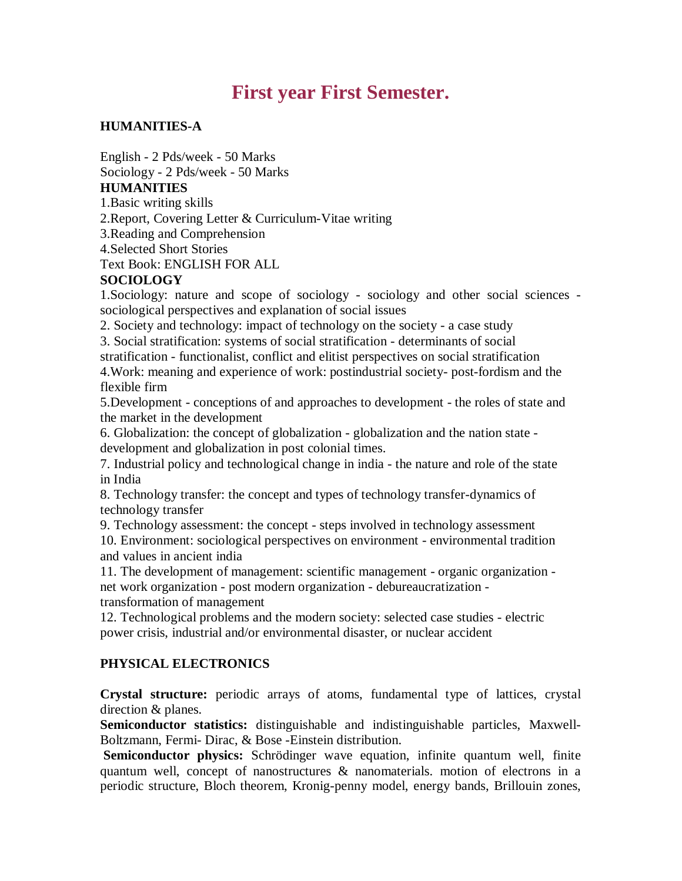# **First year First Semester.**

## **HUMANITIES-A**

English - 2 Pds/week - 50 Marks Sociology - 2 Pds/week - 50 Marks

#### **HUMANITIES**

1.Basic writing skills

2.Report, Covering Letter & Curriculum-Vitae writing

3.Reading and Comprehension

4.Selected Short Stories

Text Book: ENGLISH FOR ALL

## **SOCIOLOGY**

1.Sociology: nature and scope of sociology - sociology and other social sciences sociological perspectives and explanation of social issues

2. Society and technology: impact of technology on the society - a case study

3. Social stratification: systems of social stratification - determinants of social stratification - functionalist, conflict and elitist perspectives on social stratification

4.Work: meaning and experience of work: postindustrial society- post-fordism and the flexible firm

5.Development - conceptions of and approaches to development - the roles of state and the market in the development

6. Globalization: the concept of globalization - globalization and the nation state development and globalization in post colonial times.

7. Industrial policy and technological change in india - the nature and role of the state in India

8. Technology transfer: the concept and types of technology transfer-dynamics of technology transfer

9. Technology assessment: the concept - steps involved in technology assessment 10. Environment: sociological perspectives on environment - environmental tradition and values in ancient india

11. The development of management: scientific management - organic organization net work organization - post modern organization - debureaucratization transformation of management

12. Technological problems and the modern society: selected case studies - electric power crisis, industrial and/or environmental disaster, or nuclear accident

# **PHYSICAL ELECTRONICS**

**Crystal structure:** periodic arrays of atoms, fundamental type of lattices, crystal direction & planes.

**Semiconductor statistics:** distinguishable and indistinguishable particles, Maxwell-Boltzmann, Fermi- Dirac, & Bose -Einstein distribution.

**Semiconductor physics:** Schrödinger wave equation, infinite quantum well, finite quantum well, concept of nanostructures & nanomaterials. motion of electrons in a periodic structure, Bloch theorem, Kronig-penny model, energy bands, Brillouin zones,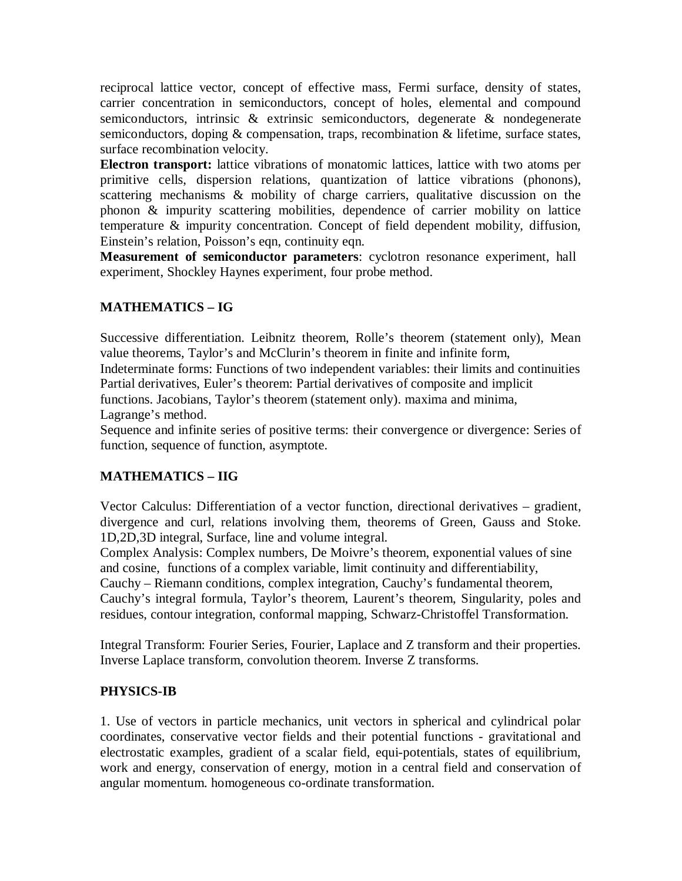reciprocal lattice vector, concept of effective mass, Fermi surface, density of states, carrier concentration in semiconductors, concept of holes, elemental and compound semiconductors, intrinsic & extrinsic semiconductors, degenerate & nondegenerate semiconductors, doping & compensation, traps, recombination & lifetime, surface states, surface recombination velocity.

**Electron transport:** lattice vibrations of monatomic lattices, lattice with two atoms per primitive cells, dispersion relations, quantization of lattice vibrations (phonons), scattering mechanisms & mobility of charge carriers, qualitative discussion on the phonon & impurity scattering mobilities, dependence of carrier mobility on lattice temperature & impurity concentration. Concept of field dependent mobility, diffusion, Einstein's relation, Poisson's eqn, continuity eqn.

**Measurement of semiconductor parameters**: cyclotron resonance experiment, hall experiment, Shockley Haynes experiment, four probe method.

# **MATHEMATICS – IG**

Successive differentiation. Leibnitz theorem, Rolle's theorem (statement only), Mean value theorems, Taylor's and McClurin's theorem in finite and infinite form,

Indeterminate forms: Functions of two independent variables: their limits and continuities Partial derivatives, Euler's theorem: Partial derivatives of composite and implicit

functions. Jacobians, Taylor's theorem (statement only). maxima and minima,

Lagrange's method.

Sequence and infinite series of positive terms: their convergence or divergence: Series of function, sequence of function, asymptote.

# **MATHEMATICS – IIG**

Vector Calculus: Differentiation of a vector function, directional derivatives – gradient, divergence and curl, relations involving them, theorems of Green, Gauss and Stoke. 1D,2D,3D integral, Surface, line and volume integral.

Complex Analysis: Complex numbers, De Moivre's theorem, exponential values of sine and cosine, functions of a complex variable, limit continuity and differentiability,

Cauchy – Riemann conditions, complex integration, Cauchy's fundamental theorem, Cauchy's integral formula, Taylor's theorem, Laurent's theorem, Singularity, poles and residues, contour integration, conformal mapping, Schwarz-Christoffel Transformation.

Integral Transform: Fourier Series, Fourier, Laplace and Z transform and their properties. Inverse Laplace transform, convolution theorem. Inverse Z transforms.

# **PHYSICS-IB**

1. Use of vectors in particle mechanics, unit vectors in spherical and cylindrical polar coordinates, conservative vector fields and their potential functions - gravitational and electrostatic examples, gradient of a scalar field, equi-potentials, states of equilibrium, work and energy, conservation of energy, motion in a central field and conservation of angular momentum. homogeneous co-ordinate transformation.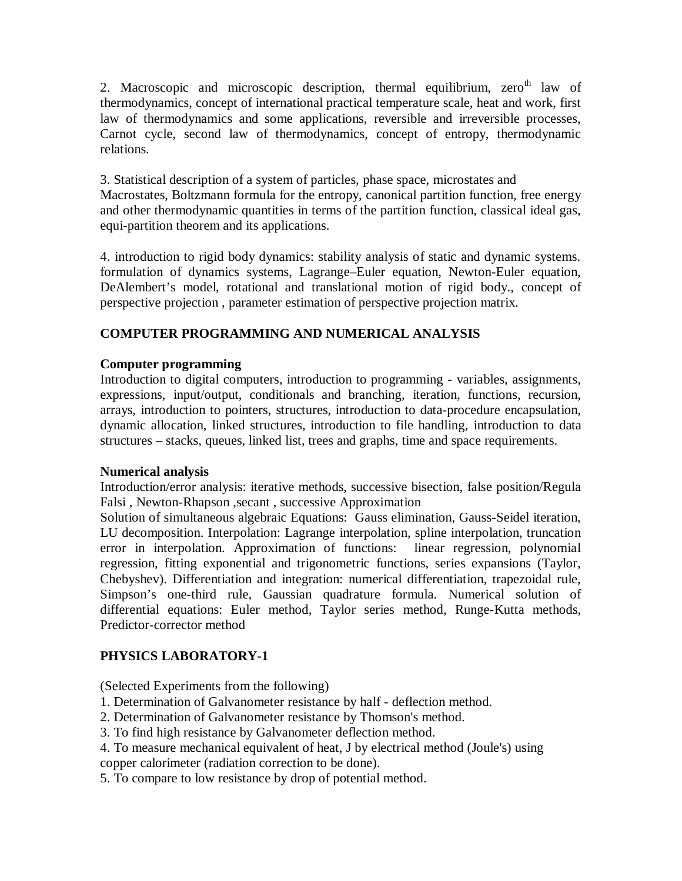2. Macroscopic and microscopic description, thermal equilibrium,  $zero<sup>th</sup>$  law of thermodynamics, concept of international practical temperature scale, heat and work, first law of thermodynamics and some applications, reversible and irreversible processes, Carnot cycle, second law of thermodynamics, concept of entropy, thermodynamic relations.

3. Statistical description of a system of particles, phase space, microstates and Macrostates, Boltzmann formula for the entropy, canonical partition function, free energy and other thermodynamic quantities in terms of the partition function, classical ideal gas, equi-partition theorem and its applications.

4. introduction to rigid body dynamics: stability analysis of static and dynamic systems. formulation of dynamics systems, Lagrange–Euler equation, Newton-Euler equation, DeAlembert's model, rotational and translational motion of rigid body., concept of perspective projection , parameter estimation of perspective projection matrix.

# **COMPUTER PROGRAMMING AND NUMERICAL ANALYSIS**

## **Computer programming**

Introduction to digital computers, introduction to programming - variables, assignments, expressions, input/output, conditionals and branching, iteration, functions, recursion, arrays, introduction to pointers, structures, introduction to data-procedure encapsulation, dynamic allocation, linked structures, introduction to file handling, introduction to data structures – stacks, queues, linked list, trees and graphs, time and space requirements.

## **Numerical analysis**

Introduction/error analysis: iterative methods, successive bisection, false position/Regula Falsi , Newton-Rhapson ,secant , successive Approximation

Solution of simultaneous algebraic Equations: Gauss elimination, Gauss-Seidel iteration, LU decomposition. Interpolation: Lagrange interpolation, spline interpolation, truncation error in interpolation. Approximation of functions: linear regression, polynomial regression, fitting exponential and trigonometric functions, series expansions (Taylor, Chebyshev). Differentiation and integration: numerical differentiation, trapezoidal rule, Simpson's one-third rule, Gaussian quadrature formula. Numerical solution of differential equations: Euler method, Taylor series method, Runge-Kutta methods, Predictor-corrector method

# **PHYSICS LABORATORY-1**

(Selected Experiments from the following)

- 1. Determination of Galvanometer resistance by half deflection method.
- 2. Determination of Galvanometer resistance by Thomson's method.
- 3. To find high resistance by Galvanometer deflection method.
- 4. To measure mechanical equivalent of heat, J by electrical method (Joule's) using copper calorimeter (radiation correction to be done).
- 5. To compare to low resistance by drop of potential method.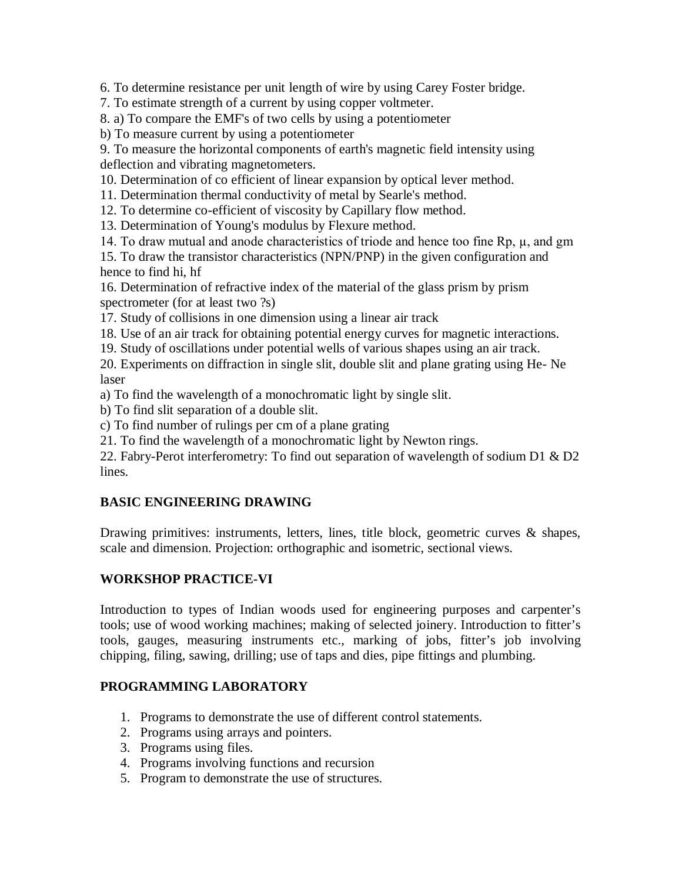6. To determine resistance per unit length of wire by using Carey Foster bridge.

7. To estimate strength of a current by using copper voltmeter.

8. a) To compare the EMF's of two cells by using a potentiometer

b) To measure current by using a potentiometer

9. To measure the horizontal components of earth's magnetic field intensity using deflection and vibrating magnetometers.

10. Determination of co efficient of linear expansion by optical lever method.

11. Determination thermal conductivity of metal by Searle's method.

12. To determine co-efficient of viscosity by Capillary flow method.

13. Determination of Young's modulus by Flexure method.

14. To draw mutual and anode characteristics of triode and hence too fine Rp, µ, and gm

15. To draw the transistor characteristics (NPN/PNP) in the given configuration and hence to find hi, hf

16. Determination of refractive index of the material of the glass prism by prism spectrometer (for at least two ?s)

17. Study of collisions in one dimension using a linear air track

18. Use of an air track for obtaining potential energy curves for magnetic interactions.

19. Study of oscillations under potential wells of various shapes using an air track.

20. Experiments on diffraction in single slit, double slit and plane grating using He- Ne laser

a) To find the wavelength of a monochromatic light by single slit.

b) To find slit separation of a double slit.

c) To find number of rulings per cm of a plane grating

21. To find the wavelength of a monochromatic light by Newton rings.

22. Fabry-Perot interferometry: To find out separation of wavelength of sodium D1 & D2 lines.

# **BASIC ENGINEERING DRAWING**

Drawing primitives: instruments, letters, lines, title block, geometric curves & shapes, scale and dimension. Projection: orthographic and isometric, sectional views.

# **WORKSHOP PRACTICE-VI**

Introduction to types of Indian woods used for engineering purposes and carpenter's tools; use of wood working machines; making of selected joinery. Introduction to fitter's tools, gauges, measuring instruments etc., marking of jobs, fitter's job involving chipping, filing, sawing, drilling; use of taps and dies, pipe fittings and plumbing.

# **PROGRAMMING LABORATORY**

- 1. Programs to demonstrate the use of different control statements.
- 2. Programs using arrays and pointers.
- 3. Programs using files.
- 4. Programs involving functions and recursion
- 5. Program to demonstrate the use of structures.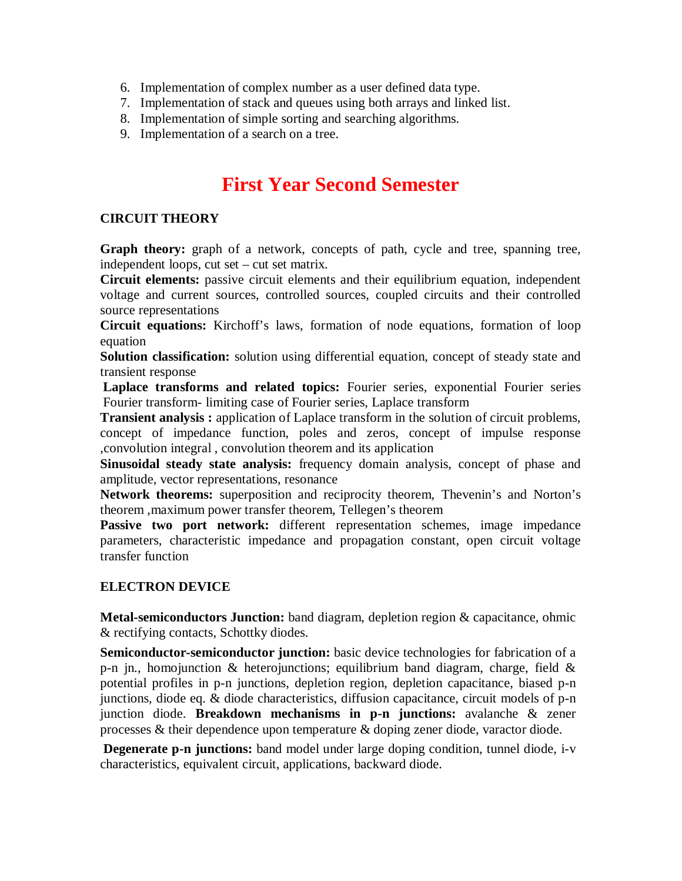- 6. Implementation of complex number as a user defined data type.
- 7. Implementation of stack and queues using both arrays and linked list.
- 8. Implementation of simple sorting and searching algorithms.
- 9. Implementation of a search on a tree.

# **First Year Second Semester**

## **CIRCUIT THEORY**

**Graph theory:** graph of a network, concepts of path, cycle and tree, spanning tree, independent loops, cut set – cut set matrix.

**Circuit elements:** passive circuit elements and their equilibrium equation, independent voltage and current sources, controlled sources, coupled circuits and their controlled source representations

**Circuit equations:** Kirchoff's laws, formation of node equations, formation of loop equation

**Solution classification:** solution using differential equation, concept of steady state and transient response

**Laplace transforms and related topics:** Fourier series, exponential Fourier series Fourier transform- limiting case of Fourier series, Laplace transform

**Transient analysis :** application of Laplace transform in the solution of circuit problems, concept of impedance function, poles and zeros, concept of impulse response ,convolution integral , convolution theorem and its application

**Sinusoidal steady state analysis:** frequency domain analysis, concept of phase and amplitude, vector representations, resonance

**Network theorems:** superposition and reciprocity theorem, Thevenin's and Norton's theorem ,maximum power transfer theorem, Tellegen's theorem

Passive two port network: different representation schemes, image impedance parameters, characteristic impedance and propagation constant, open circuit voltage transfer function

## **ELECTRON DEVICE**

**Metal-semiconductors Junction:** band diagram, depletion region & capacitance, ohmic & rectifying contacts, Schottky diodes.

**Semiconductor-semiconductor junction:** basic device technologies for fabrication of a p-n jn., homojunction & heterojunctions; equilibrium band diagram, charge, field & potential profiles in p-n junctions, depletion region, depletion capacitance, biased p-n junctions, diode eq. & diode characteristics, diffusion capacitance, circuit models of p-n junction diode. **Breakdown mechanisms in p-n junctions:** avalanche & zener processes & their dependence upon temperature & doping zener diode, varactor diode.

**Degenerate p-n junctions:** band model under large doping condition, tunnel diode, i-v characteristics, equivalent circuit, applications, backward diode.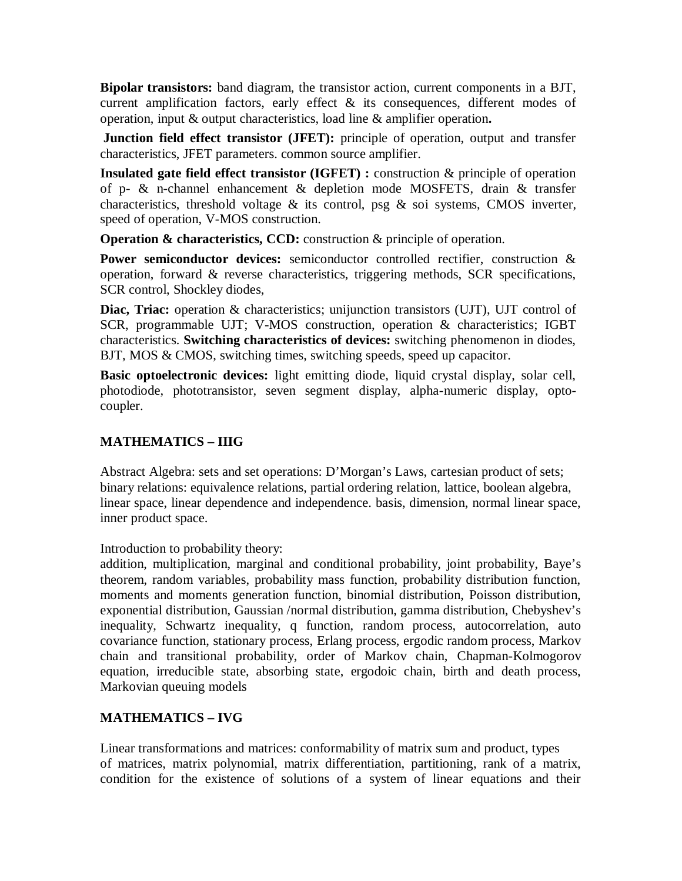**Bipolar transistors:** band diagram, the transistor action, current components in a BJT, current amplification factors, early effect & its consequences, different modes of operation, input & output characteristics, load line & amplifier operation**.**

**Junction field effect transistor (JFET):** principle of operation, output and transfer characteristics, JFET parameters. common source amplifier.

**Insulated gate field effect transistor (IGFET) :** construction & principle of operation of p- & n-channel enhancement & depletion mode MOSFETS, drain & transfer characteristics, threshold voltage  $\&$  its control, psg  $\&$  soi systems, CMOS inverter, speed of operation, V-MOS construction.

**Operation & characteristics, CCD:** construction & principle of operation.

Power semiconductor devices: semiconductor controlled rectifier, construction & operation, forward & reverse characteristics, triggering methods, SCR specifications, SCR control, Shockley diodes,

**Diac, Triac:** operation & characteristics; unijunction transistors (UJT), UJT control of SCR, programmable UJT; V-MOS construction, operation & characteristics; IGBT characteristics. **Switching characteristics of devices:** switching phenomenon in diodes, BJT, MOS & CMOS, switching times, switching speeds, speed up capacitor.

**Basic optoelectronic devices:** light emitting diode, liquid crystal display, solar cell, photodiode, phototransistor, seven segment display, alpha-numeric display, optocoupler.

# **MATHEMATICS – IIIG**

Abstract Algebra: sets and set operations: D'Morgan's Laws, cartesian product of sets; binary relations: equivalence relations, partial ordering relation, lattice, boolean algebra, linear space, linear dependence and independence. basis, dimension, normal linear space, inner product space.

Introduction to probability theory:

addition, multiplication, marginal and conditional probability, joint probability, Baye's theorem, random variables, probability mass function, probability distribution function, moments and moments generation function, binomial distribution, Poisson distribution, exponential distribution, Gaussian /normal distribution, gamma distribution, Chebyshev's inequality, Schwartz inequality, q function, random process, autocorrelation, auto covariance function, stationary process, Erlang process, ergodic random process, Markov chain and transitional probability, order of Markov chain, Chapman-Kolmogorov equation, irreducible state, absorbing state, ergodoic chain, birth and death process, Markovian queuing models

## **MATHEMATICS – IVG**

Linear transformations and matrices: conformability of matrix sum and product, types of matrices, matrix polynomial, matrix differentiation, partitioning, rank of a matrix, condition for the existence of solutions of a system of linear equations and their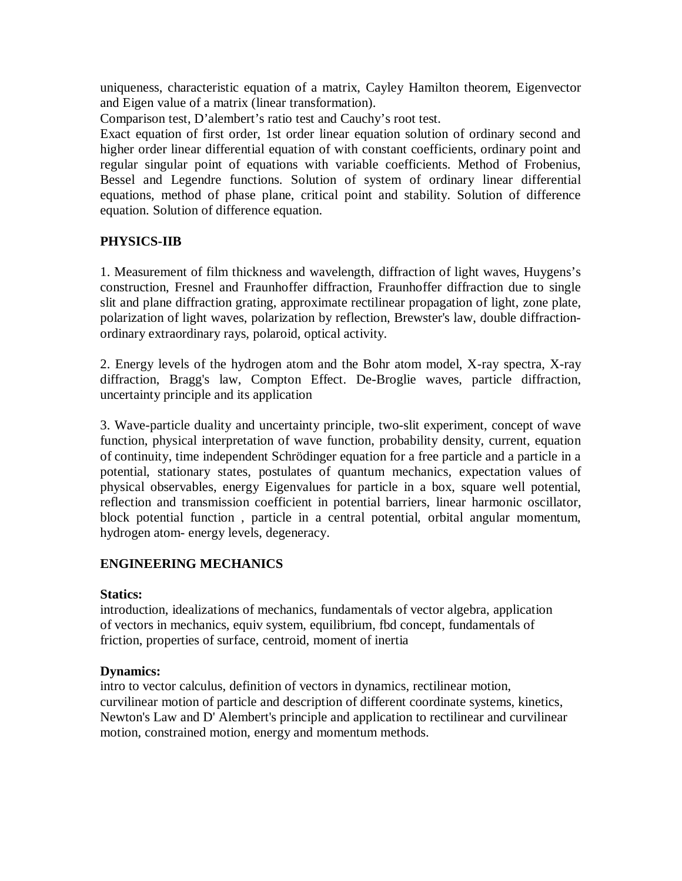uniqueness, characteristic equation of a matrix, Cayley Hamilton theorem, Eigenvector and Eigen value of a matrix (linear transformation).

Comparison test, D'alembert's ratio test and Cauchy's root test.

Exact equation of first order, 1st order linear equation solution of ordinary second and higher order linear differential equation of with constant coefficients, ordinary point and regular singular point of equations with variable coefficients. Method of Frobenius, Bessel and Legendre functions. Solution of system of ordinary linear differential equations, method of phase plane, critical point and stability. Solution of difference equation. Solution of difference equation.

# **PHYSICS-IIB**

1. Measurement of film thickness and wavelength, diffraction of light waves, Huygens's construction, Fresnel and Fraunhoffer diffraction, Fraunhoffer diffraction due to single slit and plane diffraction grating, approximate rectilinear propagation of light, zone plate, polarization of light waves, polarization by reflection, Brewster's law, double diffractionordinary extraordinary rays, polaroid, optical activity.

2. Energy levels of the hydrogen atom and the Bohr atom model, X-ray spectra, X-ray diffraction, Bragg's law, Compton Effect. De-Broglie waves, particle diffraction, uncertainty principle and its application

3. Wave-particle duality and uncertainty principle, two-slit experiment, concept of wave function, physical interpretation of wave function, probability density, current, equation of continuity, time independent Schrödinger equation for a free particle and a particle in a potential, stationary states, postulates of quantum mechanics, expectation values of physical observables, energy Eigenvalues for particle in a box, square well potential, reflection and transmission coefficient in potential barriers, linear harmonic oscillator, block potential function , particle in a central potential, orbital angular momentum, hydrogen atom- energy levels, degeneracy.

# **ENGINEERING MECHANICS**

## **Statics:**

introduction, idealizations of mechanics, fundamentals of vector algebra, application of vectors in mechanics, equiv system, equilibrium, fbd concept, fundamentals of friction, properties of surface, centroid, moment of inertia

## **Dynamics:**

intro to vector calculus, definition of vectors in dynamics, rectilinear motion, curvilinear motion of particle and description of different coordinate systems, kinetics, Newton's Law and D' Alembert's principle and application to rectilinear and curvilinear motion, constrained motion, energy and momentum methods.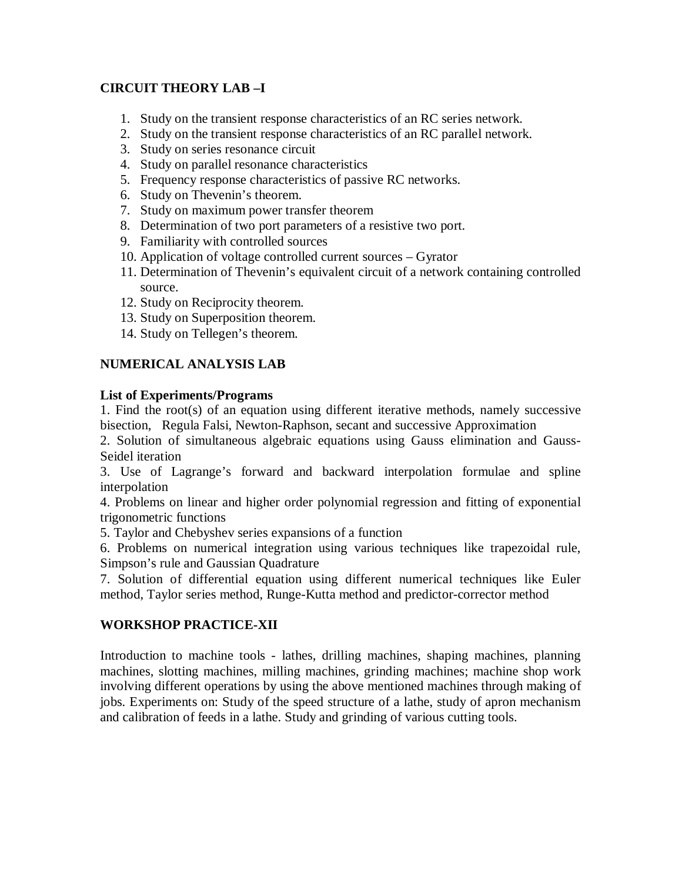# **CIRCUIT THEORY LAB –I**

- 1. Study on the transient response characteristics of an RC series network.
- 2. Study on the transient response characteristics of an RC parallel network.
- 3. Study on series resonance circuit
- 4. Study on parallel resonance characteristics
- 5. Frequency response characteristics of passive RC networks.
- 6. Study on Thevenin's theorem.
- 7. Study on maximum power transfer theorem
- 8. Determination of two port parameters of a resistive two port.
- 9. Familiarity with controlled sources
- 10. Application of voltage controlled current sources Gyrator
- 11. Determination of Thevenin's equivalent circuit of a network containing controlled source.
- 12. Study on Reciprocity theorem.
- 13. Study on Superposition theorem.
- 14. Study on Tellegen's theorem.

# **NUMERICAL ANALYSIS LAB**

# **List of Experiments/Programs**

1. Find the root(s) of an equation using different iterative methods, namely successive bisection, Regula Falsi, Newton-Raphson, secant and successive Approximation

2. Solution of simultaneous algebraic equations using Gauss elimination and Gauss-Seidel iteration

3. Use of Lagrange's forward and backward interpolation formulae and spline interpolation

4. Problems on linear and higher order polynomial regression and fitting of exponential trigonometric functions

5. Taylor and Chebyshev series expansions of a function

6. Problems on numerical integration using various techniques like trapezoidal rule, Simpson's rule and Gaussian Quadrature

7. Solution of differential equation using different numerical techniques like Euler method, Taylor series method, Runge-Kutta method and predictor-corrector method

# **WORKSHOP PRACTICE-XII**

Introduction to machine tools - lathes, drilling machines, shaping machines, planning machines, slotting machines, milling machines, grinding machines; machine shop work involving different operations by using the above mentioned machines through making of jobs. Experiments on: Study of the speed structure of a lathe, study of apron mechanism and calibration of feeds in a lathe. Study and grinding of various cutting tools.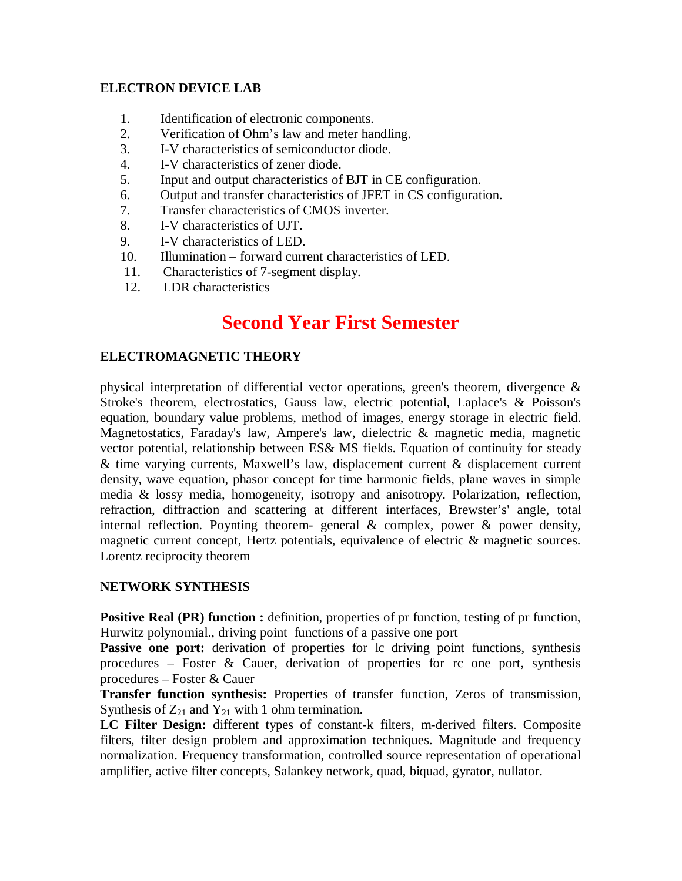## **ELECTRON DEVICE LAB**

- 1. Identification of electronic components.
- 2. Verification of Ohm's law and meter handling.
- 3. I-V characteristics of semiconductor diode.
- 4. I-V characteristics of zener diode.
- 5. Input and output characteristics of BJT in CE configuration.
- 6. Output and transfer characteristics of JFET in CS configuration.
- 7. Transfer characteristics of CMOS inverter.
- 8. I-V characteristics of UJT.
- 9. I-V characteristics of LED.
- 10. Illumination forward current characteristics of LED.
- 11. Characteristics of 7-segment display.
- 12. LDR characteristics

# **Second Year First Semester**

## **ELECTROMAGNETIC THEORY**

physical interpretation of differential vector operations, green's theorem, divergence & Stroke's theorem, electrostatics, Gauss law, electric potential, Laplace's & Poisson's equation, boundary value problems, method of images, energy storage in electric field. Magnetostatics, Faraday's law, Ampere's law, dielectric & magnetic media, magnetic vector potential, relationship between ES& MS fields. Equation of continuity for steady & time varying currents, Maxwell's law, displacement current & displacement current density, wave equation, phasor concept for time harmonic fields, plane waves in simple media & lossy media, homogeneity, isotropy and anisotropy. Polarization, reflection, refraction, diffraction and scattering at different interfaces, Brewster's' angle, total internal reflection. Poynting theorem- general & complex, power & power density, magnetic current concept, Hertz potentials, equivalence of electric & magnetic sources. Lorentz reciprocity theorem

## **NETWORK SYNTHESIS**

**Positive Real (PR) function :** definition, properties of pr function, testing of pr function, Hurwitz polynomial., driving point functions of a passive one port

Passive one port: derivation of properties for lc driving point functions, synthesis procedures – Foster & Cauer, derivation of properties for rc one port, synthesis procedures – Foster & Cauer

**Transfer function synthesis:** Properties of transfer function, Zeros of transmission, Synthesis of  $Z_{21}$  and  $Y_{21}$  with 1 ohm termination.

**LC Filter Design:** different types of constant-k filters, m-derived filters. Composite filters, filter design problem and approximation techniques. Magnitude and frequency normalization. Frequency transformation, controlled source representation of operational amplifier, active filter concepts, Salankey network, quad, biquad, gyrator, nullator.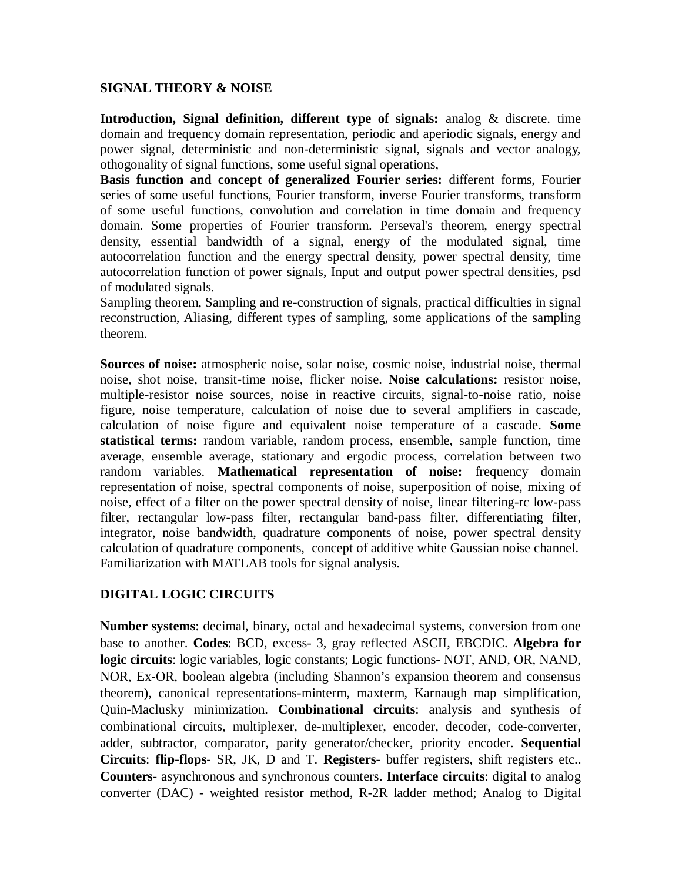## **SIGNAL THEORY & NOISE**

**Introduction, Signal definition, different type of signals:** analog & discrete. time domain and frequency domain representation, periodic and aperiodic signals, energy and power signal, deterministic and non-deterministic signal, signals and vector analogy, othogonality of signal functions, some useful signal operations,

**Basis function and concept of generalized Fourier series:** different forms, Fourier series of some useful functions, Fourier transform, inverse Fourier transforms, transform of some useful functions, convolution and correlation in time domain and frequency domain. Some properties of Fourier transform. Perseval's theorem, energy spectral density, essential bandwidth of a signal, energy of the modulated signal, time autocorrelation function and the energy spectral density, power spectral density, time autocorrelation function of power signals, Input and output power spectral densities, psd of modulated signals.

Sampling theorem, Sampling and re-construction of signals, practical difficulties in signal reconstruction, Aliasing, different types of sampling, some applications of the sampling theorem.

**Sources of noise:** atmospheric noise, solar noise, cosmic noise, industrial noise, thermal noise, shot noise, transit-time noise, flicker noise. **Noise calculations:** resistor noise, multiple-resistor noise sources, noise in reactive circuits, signal-to-noise ratio, noise figure, noise temperature, calculation of noise due to several amplifiers in cascade, calculation of noise figure and equivalent noise temperature of a cascade. **Some statistical terms:** random variable, random process, ensemble, sample function, time average, ensemble average, stationary and ergodic process, correlation between two random variables. **Mathematical representation of noise:** frequency domain representation of noise, spectral components of noise, superposition of noise, mixing of noise, effect of a filter on the power spectral density of noise, linear filtering-rc low-pass filter, rectangular low-pass filter, rectangular band-pass filter, differentiating filter, integrator, noise bandwidth, quadrature components of noise, power spectral density calculation of quadrature components, concept of additive white Gaussian noise channel. Familiarization with MATLAB tools for signal analysis.

# **DIGITAL LOGIC CIRCUITS**

**Number systems**: decimal, binary, octal and hexadecimal systems, conversion from one base to another. **Codes**: BCD, excess- 3, gray reflected ASCII, EBCDIC. **Algebra for logic circuits**: logic variables, logic constants; Logic functions- NOT, AND, OR, NAND, NOR, Ex-OR, boolean algebra (including Shannon's expansion theorem and consensus theorem), canonical representations-minterm, maxterm, Karnaugh map simplification, Quin-Maclusky minimization. **Combinational circuits**: analysis and synthesis of combinational circuits, multiplexer, de-multiplexer, encoder, decoder, code-converter, adder, subtractor, comparator, parity generator/checker, priority encoder. **Sequential Circuits**: **flip-flops**- SR, JK, D and T. **Registers**- buffer registers, shift registers etc.. **Counters**- asynchronous and synchronous counters. **Interface circuits**: digital to analog converter (DAC) - weighted resistor method, R-2R ladder method; Analog to Digital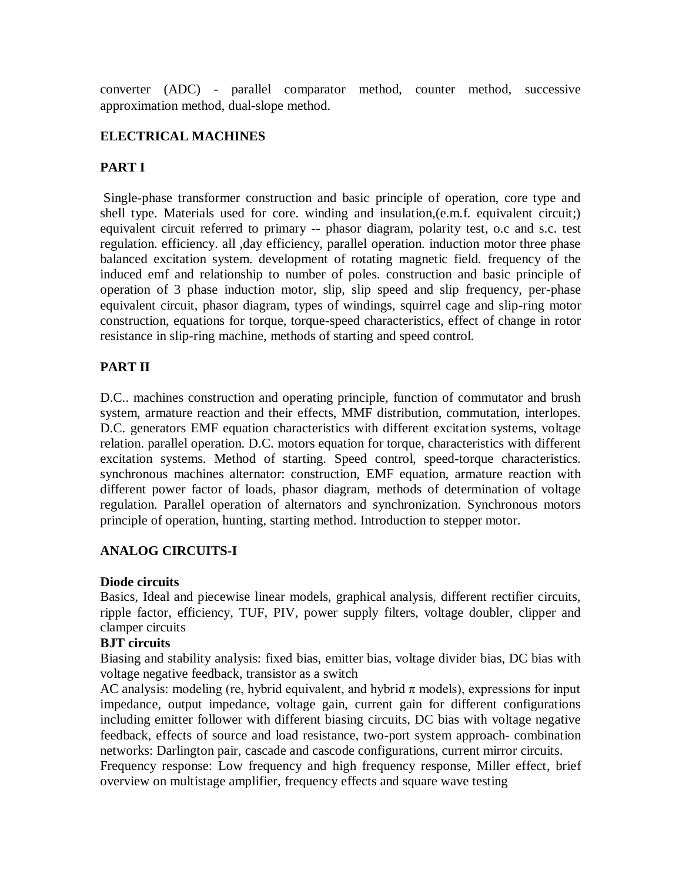converter (ADC) - parallel comparator method, counter method, successive approximation method, dual-slope method.

## **ELECTRICAL MACHINES**

# **PART I**

Single-phase transformer construction and basic principle of operation, core type and shell type. Materials used for core. winding and insulation,(e.m.f. equivalent circuit;) equivalent circuit referred to primary -- phasor diagram, polarity test, o.c and s.c. test regulation. efficiency. all ,day efficiency, parallel operation. induction motor three phase balanced excitation system. development of rotating magnetic field. frequency of the induced emf and relationship to number of poles. construction and basic principle of operation of 3 phase induction motor, slip, slip speed and slip frequency, per-phase equivalent circuit, phasor diagram, types of windings, squirrel cage and slip-ring motor construction, equations for torque, torque-speed characteristics, effect of change in rotor resistance in slip-ring machine, methods of starting and speed control.

# **PART II**

D.C.. machines construction and operating principle, function of commutator and brush system, armature reaction and their effects, MMF distribution, commutation, interlopes. D.C. generators EMF equation characteristics with different excitation systems, voltage relation. parallel operation. D.C. motors equation for torque, characteristics with different excitation systems. Method of starting. Speed control, speed-torque characteristics. synchronous machines alternator: construction, EMF equation, armature reaction with different power factor of loads, phasor diagram, methods of determination of voltage regulation. Parallel operation of alternators and synchronization. Synchronous motors principle of operation, hunting, starting method. Introduction to stepper motor.

# **ANALOG CIRCUITS-I**

## **Diode circuits**

Basics, Ideal and piecewise linear models, graphical analysis, different rectifier circuits, ripple factor, efficiency, TUF, PIV, power supply filters, voltage doubler, clipper and clamper circuits

## **BJT circuits**

Biasing and stability analysis: fixed bias, emitter bias, voltage divider bias, DC bias with voltage negative feedback, transistor as a switch

AC analysis: modeling (re, hybrid equivalent, and hybrid  $\pi$  models), expressions for input impedance, output impedance, voltage gain, current gain for different configurations including emitter follower with different biasing circuits, DC bias with voltage negative feedback, effects of source and load resistance, two-port system approach- combination networks: Darlington pair, cascade and cascode configurations, current mirror circuits. Frequency response: Low frequency and high frequency response, Miller effect, brief overview on multistage amplifier, frequency effects and square wave testing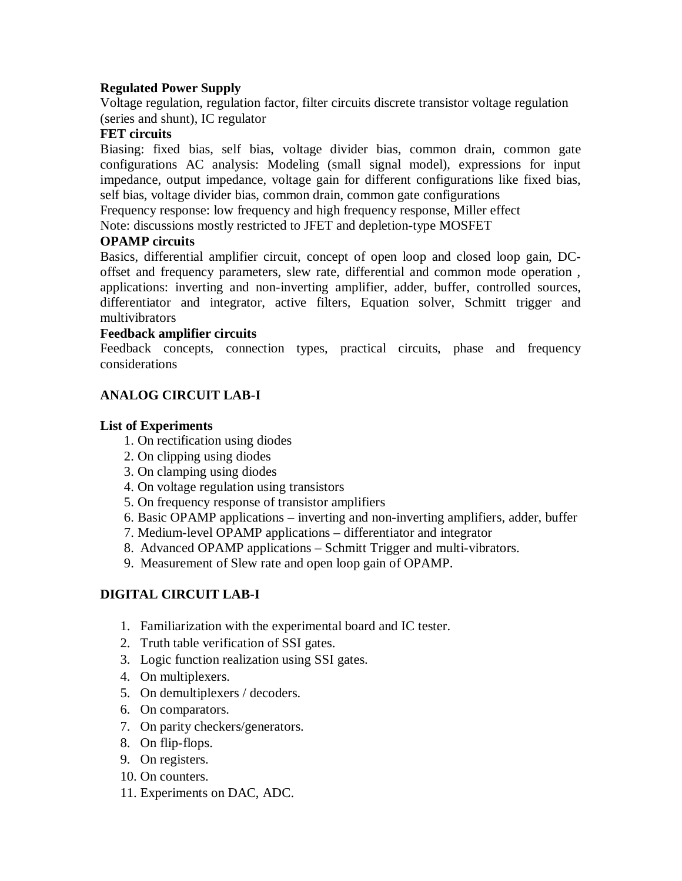## **Regulated Power Supply**

Voltage regulation, regulation factor, filter circuits discrete transistor voltage regulation (series and shunt), IC regulator

## **FET circuits**

Biasing: fixed bias, self bias, voltage divider bias, common drain, common gate configurations AC analysis: Modeling (small signal model), expressions for input impedance, output impedance, voltage gain for different configurations like fixed bias, self bias, voltage divider bias, common drain, common gate configurations

Frequency response: low frequency and high frequency response, Miller effect

Note: discussions mostly restricted to JFET and depletion-type MOSFET

## **OPAMP circuits**

Basics, differential amplifier circuit, concept of open loop and closed loop gain, DCoffset and frequency parameters, slew rate, differential and common mode operation , applications: inverting and non-inverting amplifier, adder, buffer, controlled sources, differentiator and integrator, active filters, Equation solver, Schmitt trigger and multivibrators

## **Feedback amplifier circuits**

Feedback concepts, connection types, practical circuits, phase and frequency considerations

# **ANALOG CIRCUIT LAB-I**

## **List of Experiments**

- 1. On rectification using diodes
- 2. On clipping using diodes
- 3. On clamping using diodes
- 4. On voltage regulation using transistors
- 5. On frequency response of transistor amplifiers
- 6. Basic OPAMP applications inverting and non-inverting amplifiers, adder, buffer
- 7. Medium-level OPAMP applications differentiator and integrator
- 8. Advanced OPAMP applications Schmitt Trigger and multi-vibrators.
- 9. Measurement of Slew rate and open loop gain of OPAMP.

# **DIGITAL CIRCUIT LAB-I**

- 1. Familiarization with the experimental board and IC tester.
- 2. Truth table verification of SSI gates.
- 3. Logic function realization using SSI gates.
- 4. On multiplexers.
- 5. On demultiplexers / decoders.
- 6. On comparators.
- 7. On parity checkers/generators.
- 8. On flip-flops.
- 9. On registers.
- 10. On counters.
- 11. Experiments on DAC, ADC.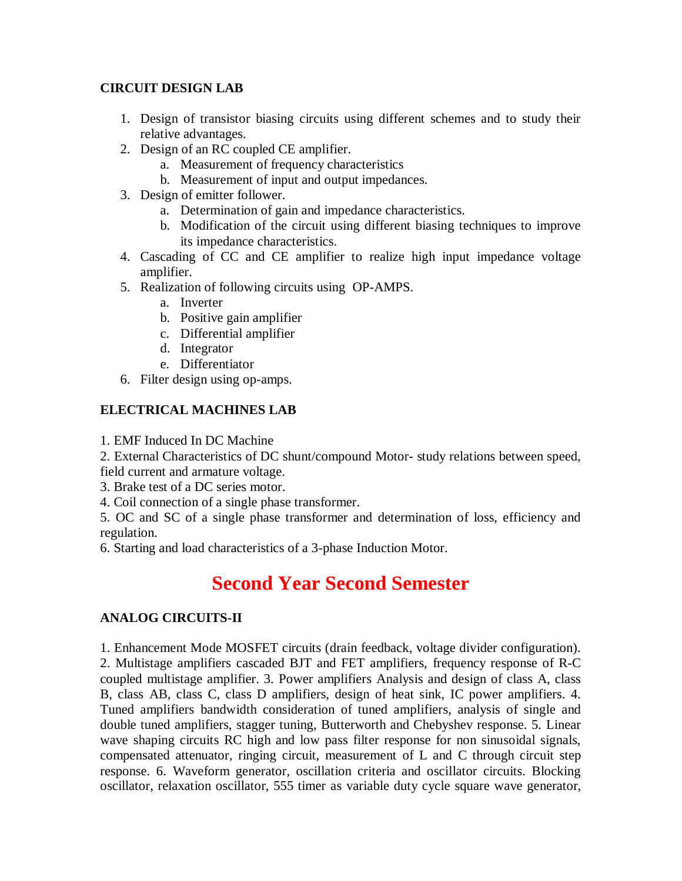# **CIRCUIT DESIGN LAB**

- 1. Design of transistor biasing circuits using different schemes and to study their relative advantages.
- 2. Design of an RC coupled CE amplifier.
	- a. Measurement of frequency characteristics
	- b. Measurement of input and output impedances.
- 3. Design of emitter follower.
	- a. Determination of gain and impedance characteristics.
	- b. Modification of the circuit using different biasing techniques to improve its impedance characteristics.
- 4. Cascading of CC and CE amplifier to realize high input impedance voltage amplifier.
- 5. Realization of following circuits using OP-AMPS.
	- a. Inverter
	- b. Positive gain amplifier
	- c. Differential amplifier
	- d. Integrator
	- e. Differentiator
- 6. Filter design using op-amps.

# **ELECTRICAL MACHINES LAB**

1. EMF Induced In DC Machine

2. External Characteristics of DC shunt/compound Motor- study relations between speed, field current and armature voltage.

3. Brake test of a DC series motor.

4. Coil connection of a single phase transformer.

5. OC and SC of a single phase transformer and determination of loss, efficiency and regulation.

6. Starting and load characteristics of a 3-phase Induction Motor.

# **Second Year Second Semester**

# **ANALOG CIRCUITS-II**

1. Enhancement Mode MOSFET circuits (drain feedback, voltage divider configuration). 2. Multistage amplifiers cascaded BJT and FET amplifiers, frequency response of R-C coupled multistage amplifier. 3. Power amplifiers Analysis and design of class A, class B, class AB, class C, class D amplifiers, design of heat sink, IC power amplifiers. 4. Tuned amplifiers bandwidth consideration of tuned amplifiers, analysis of single and double tuned amplifiers, stagger tuning, Butterworth and Chebyshev response. 5. Linear wave shaping circuits RC high and low pass filter response for non sinusoidal signals, compensated attenuator, ringing circuit, measurement of L and C through circuit step response. 6. Waveform generator, oscillation criteria and oscillator circuits. Blocking oscillator, relaxation oscillator, 555 timer as variable duty cycle square wave generator,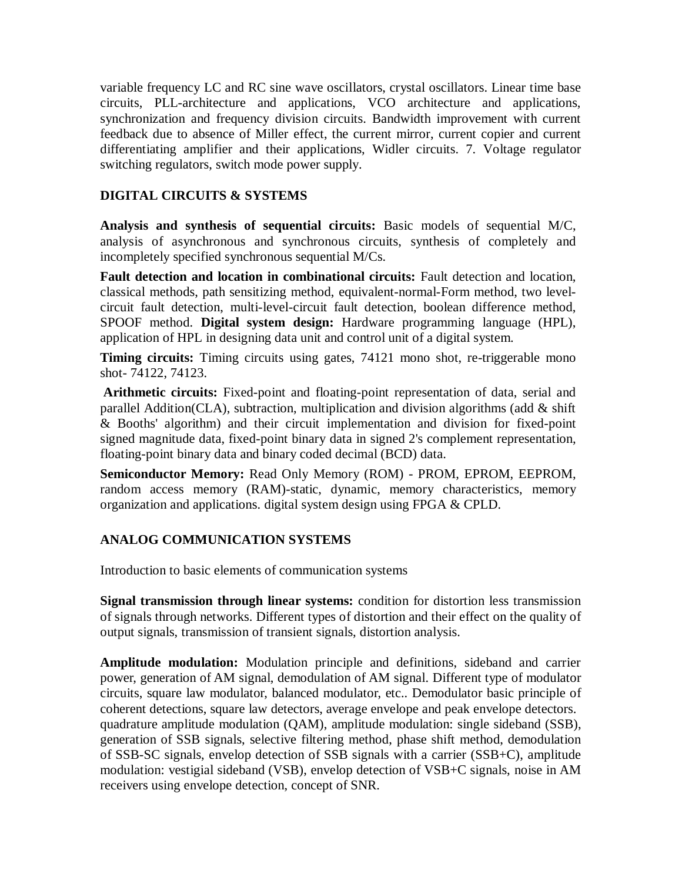variable frequency LC and RC sine wave oscillators, crystal oscillators. Linear time base circuits, PLL-architecture and applications, VCO architecture and applications, synchronization and frequency division circuits. Bandwidth improvement with current feedback due to absence of Miller effect, the current mirror, current copier and current differentiating amplifier and their applications, Widler circuits. 7. Voltage regulator switching regulators, switch mode power supply.

# **DIGITAL CIRCUITS & SYSTEMS**

**Analysis and synthesis of sequential circuits:** Basic models of sequential M/C, analysis of asynchronous and synchronous circuits, synthesis of completely and incompletely specified synchronous sequential M/Cs.

**Fault detection and location in combinational circuits:** Fault detection and location, classical methods, path sensitizing method, equivalent-normal-Form method, two levelcircuit fault detection, multi-level-circuit fault detection, boolean difference method, SPOOF method. **Digital system design:** Hardware programming language (HPL), application of HPL in designing data unit and control unit of a digital system.

**Timing circuits:** Timing circuits using gates, 74121 mono shot, re-triggerable mono shot- 74122, 74123.

**Arithmetic circuits:** Fixed-point and floating-point representation of data, serial and parallel Addition(CLA), subtraction, multiplication and division algorithms (add  $\&$  shift & Booths' algorithm) and their circuit implementation and division for fixed-point signed magnitude data, fixed-point binary data in signed 2's complement representation, floating-point binary data and binary coded decimal (BCD) data.

**Semiconductor Memory:** Read Only Memory (ROM) - PROM, EPROM, EEPROM, random access memory (RAM)-static, dynamic, memory characteristics, memory organization and applications. digital system design using FPGA & CPLD.

# **ANALOG COMMUNICATION SYSTEMS**

Introduction to basic elements of communication systems

**Signal transmission through linear systems:** condition for distortion less transmission of signals through networks. Different types of distortion and their effect on the quality of output signals, transmission of transient signals, distortion analysis.

**Amplitude modulation:** Modulation principle and definitions, sideband and carrier power, generation of AM signal, demodulation of AM signal. Different type of modulator circuits, square law modulator, balanced modulator, etc.. Demodulator basic principle of coherent detections, square law detectors, average envelope and peak envelope detectors. quadrature amplitude modulation (QAM), amplitude modulation: single sideband (SSB), generation of SSB signals, selective filtering method, phase shift method, demodulation of SSB-SC signals, envelop detection of SSB signals with a carrier (SSB+C), amplitude modulation: vestigial sideband (VSB), envelop detection of VSB+C signals, noise in AM receivers using envelope detection, concept of SNR.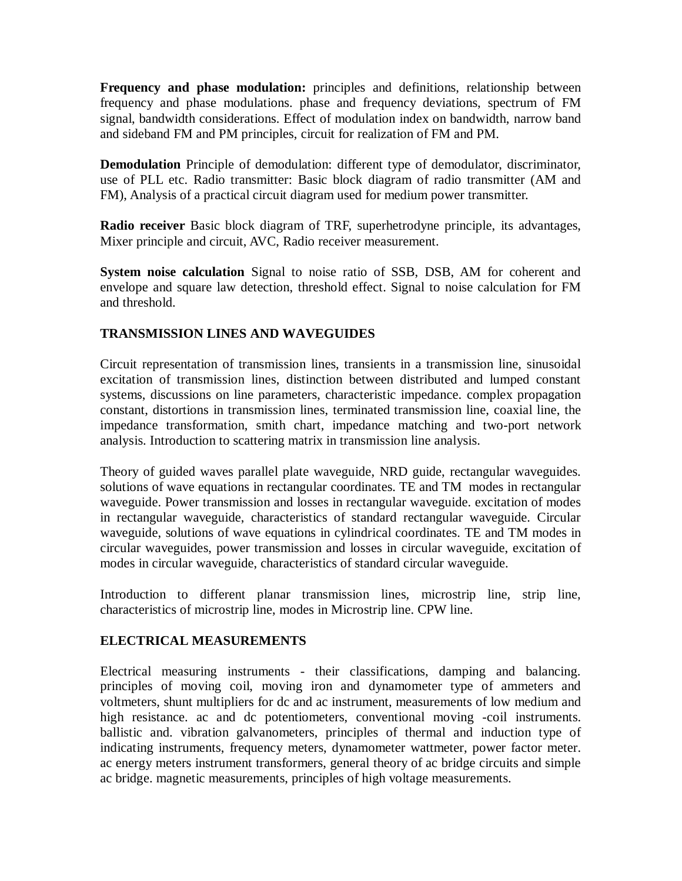**Frequency and phase modulation:** principles and definitions, relationship between frequency and phase modulations. phase and frequency deviations, spectrum of FM signal, bandwidth considerations. Effect of modulation index on bandwidth, narrow band and sideband FM and PM principles, circuit for realization of FM and PM.

**Demodulation** Principle of demodulation: different type of demodulator, discriminator, use of PLL etc. Radio transmitter: Basic block diagram of radio transmitter (AM and FM), Analysis of a practical circuit diagram used for medium power transmitter.

**Radio receiver** Basic block diagram of TRF, superhetrodyne principle, its advantages, Mixer principle and circuit, AVC, Radio receiver measurement.

**System noise calculation** Signal to noise ratio of SSB, DSB, AM for coherent and envelope and square law detection, threshold effect. Signal to noise calculation for FM and threshold.

# **TRANSMISSION LINES AND WAVEGUIDES**

Circuit representation of transmission lines, transients in a transmission line, sinusoidal excitation of transmission lines, distinction between distributed and lumped constant systems, discussions on line parameters, characteristic impedance. complex propagation constant, distortions in transmission lines, terminated transmission line, coaxial line, the impedance transformation, smith chart, impedance matching and two-port network analysis. Introduction to scattering matrix in transmission line analysis.

Theory of guided waves parallel plate waveguide, NRD guide, rectangular waveguides. solutions of wave equations in rectangular coordinates. TE and TM modes in rectangular waveguide. Power transmission and losses in rectangular waveguide. excitation of modes in rectangular waveguide, characteristics of standard rectangular waveguide. Circular waveguide, solutions of wave equations in cylindrical coordinates. TE and TM modes in circular waveguides, power transmission and losses in circular waveguide, excitation of modes in circular waveguide, characteristics of standard circular waveguide.

Introduction to different planar transmission lines, microstrip line, strip line, characteristics of microstrip line, modes in Microstrip line. CPW line.

# **ELECTRICAL MEASUREMENTS**

Electrical measuring instruments - their classifications, damping and balancing. principles of moving coil, moving iron and dynamometer type of ammeters and voltmeters, shunt multipliers for dc and ac instrument, measurements of low medium and high resistance. ac and dc potentiometers, conventional moving -coil instruments. ballistic and. vibration galvanometers, principles of thermal and induction type of indicating instruments, frequency meters, dynamometer wattmeter, power factor meter. ac energy meters instrument transformers, general theory of ac bridge circuits and simple ac bridge. magnetic measurements, principles of high voltage measurements.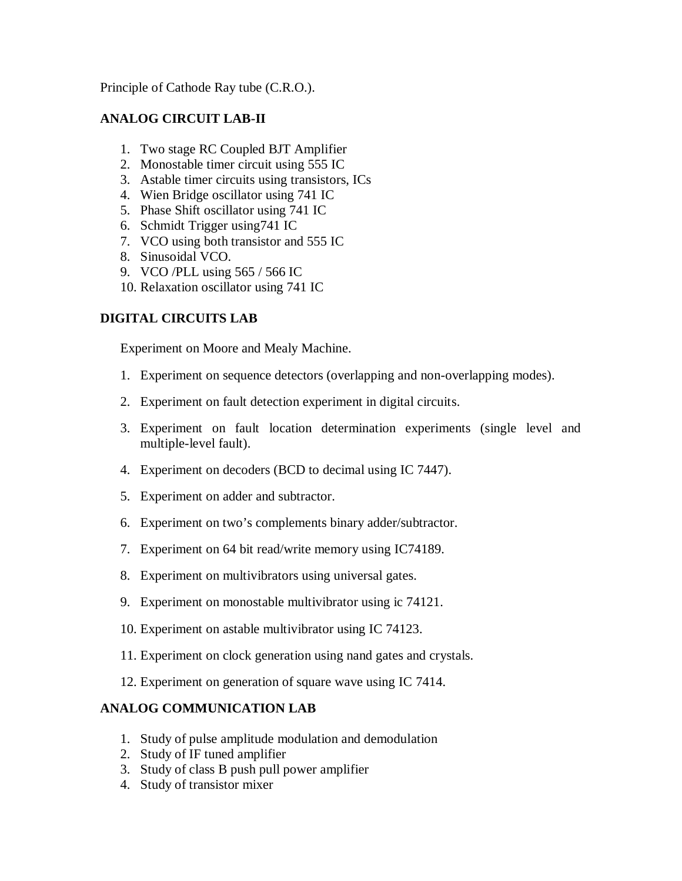Principle of Cathode Ray tube (C.R.O.).

# **ANALOG CIRCUIT LAB-II**

- 1. Two stage RC Coupled BJT Amplifier
- 2. Monostable timer circuit using 555 IC
- 3. Astable timer circuits using transistors, ICs
- 4. Wien Bridge oscillator using 741 IC
- 5. Phase Shift oscillator using 741 IC
- 6. Schmidt Trigger using741 IC
- 7. VCO using both transistor and 555 IC
- 8. Sinusoidal VCO.
- 9. VCO /PLL using 565 / 566 IC
- 10. Relaxation oscillator using 741 IC

# **DIGITAL CIRCUITS LAB**

Experiment on Moore and Mealy Machine.

- 1. Experiment on sequence detectors (overlapping and non-overlapping modes).
- 2. Experiment on fault detection experiment in digital circuits.
- 3. Experiment on fault location determination experiments (single level and multiple-level fault).
- 4. Experiment on decoders (BCD to decimal using IC 7447).
- 5. Experiment on adder and subtractor.
- 6. Experiment on two's complements binary adder/subtractor.
- 7. Experiment on 64 bit read/write memory using IC74189.
- 8. Experiment on multivibrators using universal gates.
- 9. Experiment on monostable multivibrator using ic 74121.
- 10. Experiment on astable multivibrator using IC 74123.
- 11. Experiment on clock generation using nand gates and crystals.
- 12. Experiment on generation of square wave using IC 7414.

# **ANALOG COMMUNICATION LAB**

- 1. Study of pulse amplitude modulation and demodulation
- 2. Study of IF tuned amplifier
- 3. Study of class B push pull power amplifier
- 4. Study of transistor mixer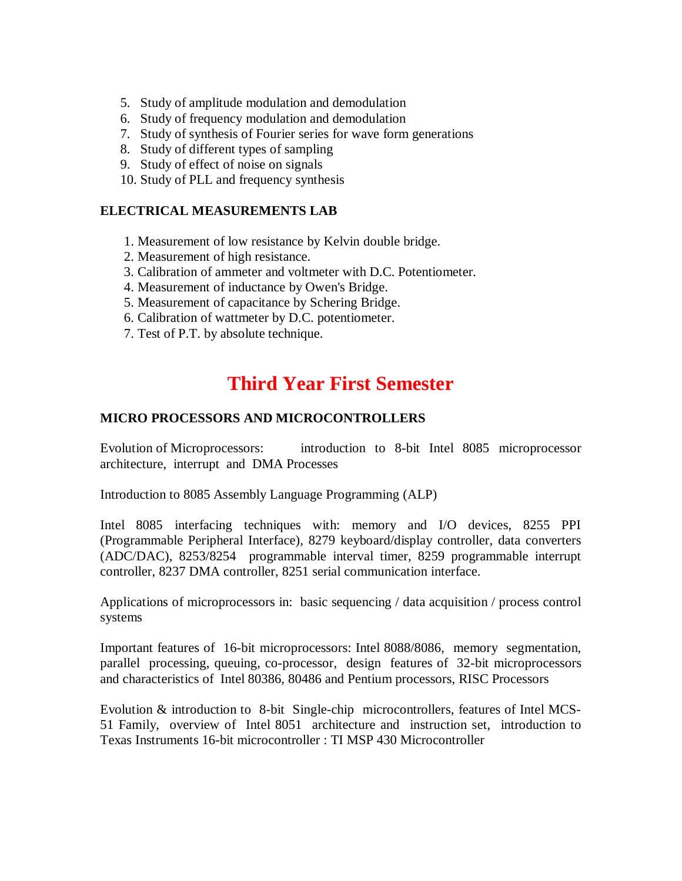- 5. Study of amplitude modulation and demodulation
- 6. Study of frequency modulation and demodulation
- 7. Study of synthesis of Fourier series for wave form generations
- 8. Study of different types of sampling
- 9. Study of effect of noise on signals
- 10. Study of PLL and frequency synthesis

## **ELECTRICAL MEASUREMENTS LAB**

- 1. Measurement of low resistance by Kelvin double bridge.
- 2. Measurement of high resistance.
- 3. Calibration of ammeter and voltmeter with D.C. Potentiometer.
- 4. Measurement of inductance by Owen's Bridge.
- 5. Measurement of capacitance by Schering Bridge.
- 6. Calibration of wattmeter by D.C. potentiometer.
- 7. Test of P.T. by absolute technique.

# **Third Year First Semester**

## **MICRO PROCESSORS AND MICROCONTROLLERS**

Evolution of Microprocessors: introduction to 8-bit Intel 8085 microprocessor architecture, interrupt and DMA Processes

Introduction to 8085 Assembly Language Programming (ALP)

Intel 8085 interfacing techniques with: memory and I/O devices, 8255 PPI (Programmable Peripheral Interface), 8279 keyboard/display controller, data converters (ADC/DAC), 8253/8254 programmable interval timer, 8259 programmable interrupt controller, 8237 DMA controller, 8251 serial communication interface.

Applications of microprocessors in: basic sequencing / data acquisition / process control systems

Important features of 16-bit microprocessors: Intel 8088/8086, memory segmentation, parallel processing, queuing, co-processor, design features of 32-bit microprocessors and characteristics of Intel 80386, 80486 and Pentium processors, RISC Processors

Evolution & introduction to 8-bit Single-chip microcontrollers, features of Intel MCS-51 Family, overview of Intel 8051 architecture and instruction set, introduction to Texas Instruments 16-bit microcontroller : TI MSP 430 Microcontroller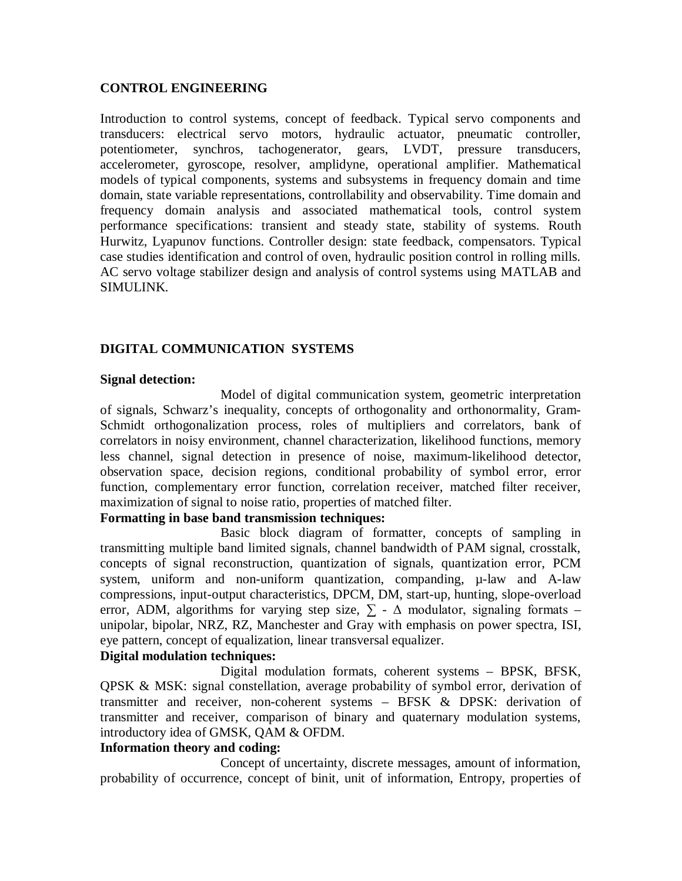## **CONTROL ENGINEERING**

Introduction to control systems, concept of feedback. Typical servo components and transducers: electrical servo motors, hydraulic actuator, pneumatic controller, potentiometer, synchros, tachogenerator, gears, LVDT, pressure transducers, accelerometer, gyroscope, resolver, amplidyne, operational amplifier. Mathematical models of typical components, systems and subsystems in frequency domain and time domain, state variable representations, controllability and observability. Time domain and frequency domain analysis and associated mathematical tools, control system performance specifications: transient and steady state, stability of systems. Routh Hurwitz, Lyapunov functions. Controller design: state feedback, compensators. Typical case studies identification and control of oven, hydraulic position control in rolling mills. AC servo voltage stabilizer design and analysis of control systems using MATLAB and SIMULINK.

## **DIGITAL COMMUNICATION SYSTEMS**

#### **Signal detection:**

Model of digital communication system, geometric interpretation of signals, Schwarz's inequality, concepts of orthogonality and orthonormality, Gram-Schmidt orthogonalization process, roles of multipliers and correlators, bank of correlators in noisy environment, channel characterization, likelihood functions, memory less channel, signal detection in presence of noise, maximum-likelihood detector, observation space, decision regions, conditional probability of symbol error, error function, complementary error function, correlation receiver, matched filter receiver, maximization of signal to noise ratio, properties of matched filter.

## **Formatting in base band transmission techniques:**

Basic block diagram of formatter, concepts of sampling in transmitting multiple band limited signals, channel bandwidth of PAM signal, crosstalk, concepts of signal reconstruction, quantization of signals, quantization error, PCM system, uniform and non-uniform quantization, companding,  $\mu$ -law and A-law compressions, input-output characteristics, DPCM, DM, start-up, hunting, slope-overload error, ADM, algorithms for varying step size,  $\Sigma$  -  $\Delta$  modulator, signaling formats – unipolar, bipolar, NRZ, RZ, Manchester and Gray with emphasis on power spectra, ISI, eye pattern, concept of equalization, linear transversal equalizer.

## **Digital modulation techniques:**

Digital modulation formats, coherent systems – BPSK, BFSK, QPSK & MSK: signal constellation, average probability of symbol error, derivation of transmitter and receiver, non-coherent systems – BFSK & DPSK: derivation of transmitter and receiver, comparison of binary and quaternary modulation systems, introductory idea of GMSK, QAM & OFDM.

## **Information theory and coding:**

Concept of uncertainty, discrete messages, amount of information, probability of occurrence, concept of binit, unit of information, Entropy, properties of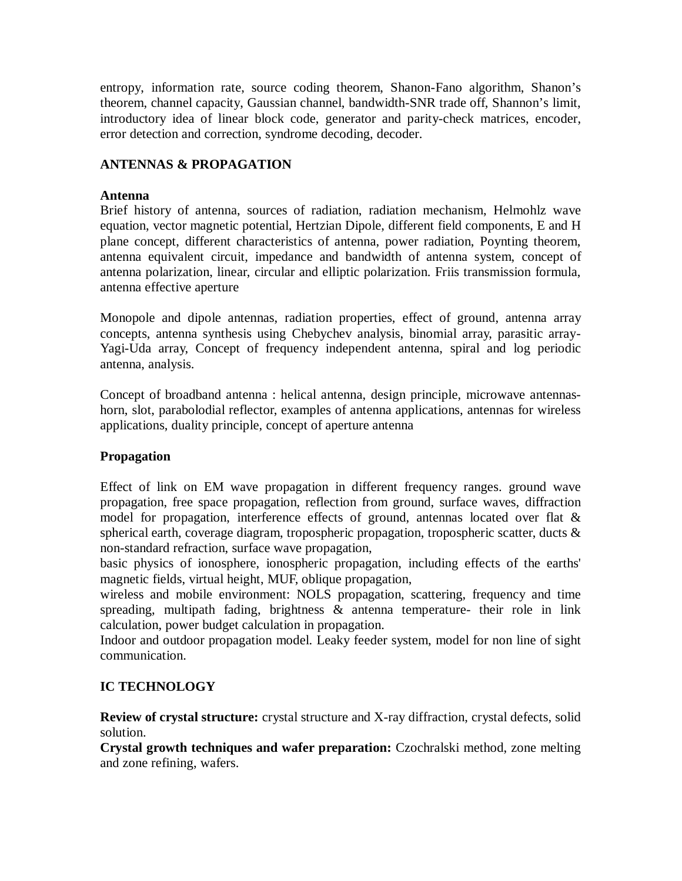entropy, information rate, source coding theorem, Shanon-Fano algorithm, Shanon's theorem, channel capacity, Gaussian channel, bandwidth-SNR trade off, Shannon's limit, introductory idea of linear block code, generator and parity-check matrices, encoder, error detection and correction, syndrome decoding, decoder.

# **ANTENNAS & PROPAGATION**

## **Antenna**

Brief history of antenna, sources of radiation, radiation mechanism, Helmohlz wave equation, vector magnetic potential, Hertzian Dipole, different field components, E and H plane concept, different characteristics of antenna, power radiation, Poynting theorem, antenna equivalent circuit, impedance and bandwidth of antenna system, concept of antenna polarization, linear, circular and elliptic polarization. Friis transmission formula, antenna effective aperture

Monopole and dipole antennas, radiation properties, effect of ground, antenna array concepts, antenna synthesis using Chebychev analysis, binomial array, parasitic array-Yagi-Uda array, Concept of frequency independent antenna, spiral and log periodic antenna, analysis.

Concept of broadband antenna : helical antenna, design principle, microwave antennashorn, slot, parabolodial reflector, examples of antenna applications, antennas for wireless applications, duality principle, concept of aperture antenna

# **Propagation**

Effect of link on EM wave propagation in different frequency ranges. ground wave propagation, free space propagation, reflection from ground, surface waves, diffraction model for propagation, interference effects of ground, antennas located over flat & spherical earth, coverage diagram, tropospheric propagation, tropospheric scatter, ducts & non-standard refraction, surface wave propagation,

basic physics of ionosphere, ionospheric propagation, including effects of the earths' magnetic fields, virtual height, MUF, oblique propagation,

wireless and mobile environment: NOLS propagation, scattering, frequency and time spreading, multipath fading, brightness & antenna temperature- their role in link calculation, power budget calculation in propagation.

Indoor and outdoor propagation model. Leaky feeder system, model for non line of sight communication.

# **IC TECHNOLOGY**

**Review of crystal structure:** crystal structure and X-ray diffraction, crystal defects, solid solution.

**Crystal growth techniques and wafer preparation:** Czochralski method, zone melting and zone refining, wafers.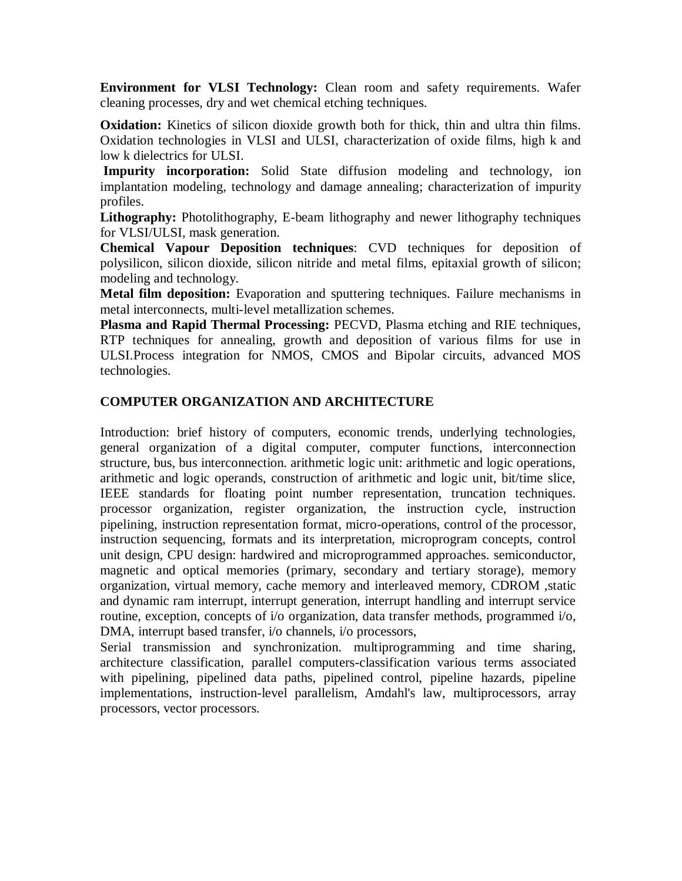**Environment for VLSI Technology:** Clean room and safety requirements. Wafer cleaning processes, dry and wet chemical etching techniques.

**Oxidation:** Kinetics of silicon dioxide growth both for thick, thin and ultra thin films. Oxidation technologies in VLSI and ULSI, characterization of oxide films, high k and low k dielectrics for ULSI.

**Impurity incorporation:** Solid State diffusion modeling and technology, ion implantation modeling, technology and damage annealing; characterization of impurity profiles.

**Lithography:** Photolithography, E-beam lithography and newer lithography techniques for VLSI/ULSI, mask generation.

**Chemical Vapour Deposition techniques**: CVD techniques for deposition of polysilicon, silicon dioxide, silicon nitride and metal films, epitaxial growth of silicon; modeling and technology.

**Metal film deposition:** Evaporation and sputtering techniques. Failure mechanisms in metal interconnects, multi-level metallization schemes.

**Plasma and Rapid Thermal Processing:** PECVD, Plasma etching and RIE techniques, RTP techniques for annealing, growth and deposition of various films for use in ULSI.Process integration for NMOS, CMOS and Bipolar circuits, advanced MOS technologies.

# **COMPUTER ORGANIZATION AND ARCHITECTURE**

Introduction: brief history of computers, economic trends, underlying technologies, general organization of a digital computer, computer functions, interconnection structure, bus, bus interconnection. arithmetic logic unit: arithmetic and logic operations, arithmetic and logic operands, construction of arithmetic and logic unit, bit/time slice, IEEE standards for floating point number representation, truncation techniques. processor organization, register organization, the instruction cycle, instruction pipelining, instruction representation format, micro-operations, control of the processor, instruction sequencing, formats and its interpretation, microprogram concepts, control unit design, CPU design: hardwired and microprogrammed approaches. semiconductor, magnetic and optical memories (primary, secondary and tertiary storage), memory organization, virtual memory, cache memory and interleaved memory, CDROM ,static and dynamic ram interrupt, interrupt generation, interrupt handling and interrupt service routine, exception, concepts of i/o organization, data transfer methods, programmed i/o, DMA, interrupt based transfer, i/o channels, i/o processors,

Serial transmission and synchronization. multiprogramming and time sharing, architecture classification, parallel computers-classification various terms associated with pipelining, pipelined data paths, pipelined control, pipeline hazards, pipeline implementations, instruction-level parallelism, Amdahl's law, multiprocessors, array processors, vector processors.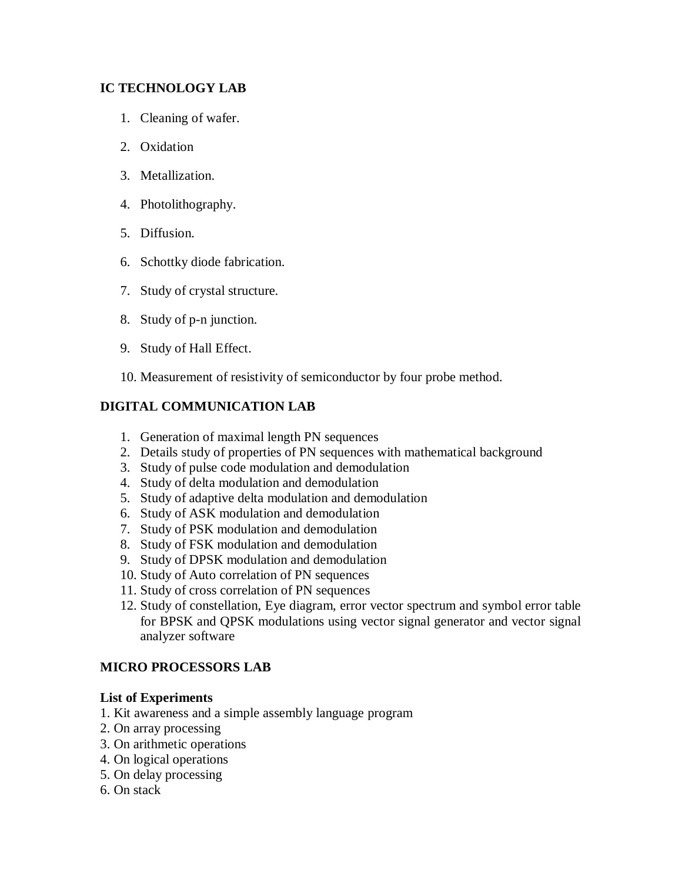# **IC TECHNOLOGY LAB**

- 1. Cleaning of wafer.
- 2. Oxidation
- 3. Metallization.
- 4. Photolithography.
- 5. Diffusion.
- 6. Schottky diode fabrication.
- 7. Study of crystal structure.
- 8. Study of p-n junction.
- 9. Study of Hall Effect.
- 10. Measurement of resistivity of semiconductor by four probe method.

# **DIGITAL COMMUNICATION LAB**

- 1. Generation of maximal length PN sequences
- 2. Details study of properties of PN sequences with mathematical background
- 3. Study of pulse code modulation and demodulation
- 4. Study of delta modulation and demodulation
- 5. Study of adaptive delta modulation and demodulation
- 6. Study of ASK modulation and demodulation
- 7. Study of PSK modulation and demodulation
- 8. Study of FSK modulation and demodulation
- 9. Study of DPSK modulation and demodulation
- 10. Study of Auto correlation of PN sequences
- 11. Study of cross correlation of PN sequences
- 12. Study of constellation, Eye diagram, error vector spectrum and symbol error table for BPSK and QPSK modulations using vector signal generator and vector signal analyzer software

# **MICRO PROCESSORS LAB**

# **List of Experiments**

- 1. Kit awareness and a simple assembly language program
- 2. On array processing
- 3. On arithmetic operations
- 4. On logical operations
- 5. On delay processing
- 6. On stack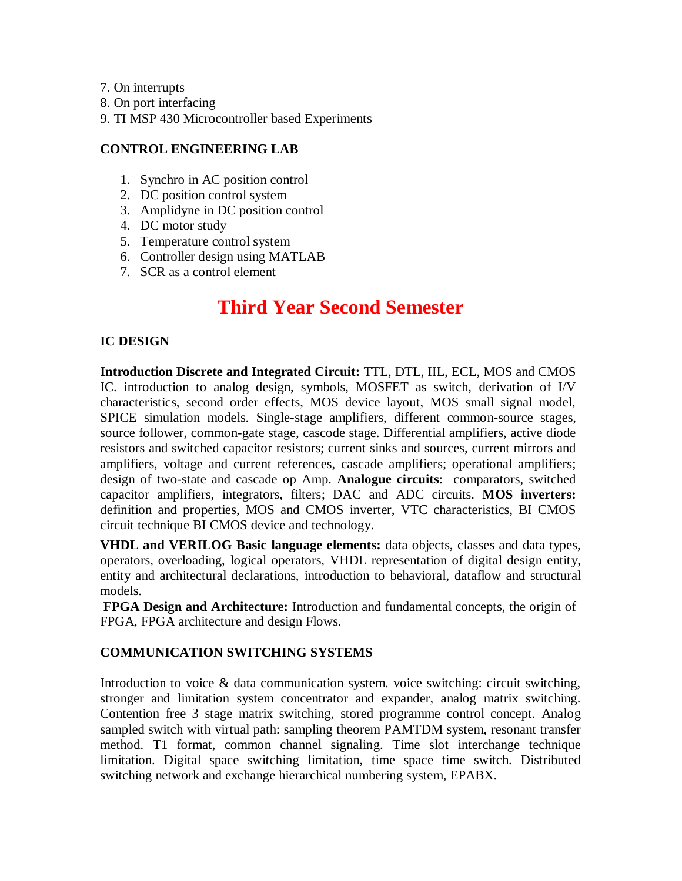- 7. On interrupts
- 8. On port interfacing
- 9. TI MSP 430 Microcontroller based Experiments

## **CONTROL ENGINEERING LAB**

- 1. Synchro in AC position control
- 2. DC position control system
- 3. Amplidyne in DC position control
- 4. DC motor study
- 5. Temperature control system
- 6. Controller design using MATLAB
- 7. SCR as a control element

# **Third Year Second Semester**

## **IC DESIGN**

**Introduction Discrete and Integrated Circuit:** TTL, DTL, IIL, ECL, MOS and CMOS IC. introduction to analog design, symbols, MOSFET as switch, derivation of I/V characteristics, second order effects, MOS device layout, MOS small signal model, SPICE simulation models. Single-stage amplifiers, different common-source stages, source follower, common-gate stage, cascode stage. Differential amplifiers, active diode resistors and switched capacitor resistors; current sinks and sources, current mirrors and amplifiers, voltage and current references, cascade amplifiers; operational amplifiers; design of two-state and cascade op Amp. **Analogue circuits**: comparators, switched capacitor amplifiers, integrators, filters; DAC and ADC circuits. **MOS inverters:** definition and properties, MOS and CMOS inverter, VTC characteristics, BI CMOS circuit technique BI CMOS device and technology.

**VHDL and VERILOG Basic language elements:** data objects, classes and data types, operators, overloading, logical operators, VHDL representation of digital design entity, entity and architectural declarations, introduction to behavioral, dataflow and structural models.

**FPGA Design and Architecture:** Introduction and fundamental concepts, the origin of FPGA, FPGA architecture and design Flows.

# **COMMUNICATION SWITCHING SYSTEMS**

Introduction to voice & data communication system. voice switching: circuit switching, stronger and limitation system concentrator and expander, analog matrix switching. Contention free 3 stage matrix switching, stored programme control concept. Analog sampled switch with virtual path: sampling theorem PAMTDM system, resonant transfer method. T1 format, common channel signaling. Time slot interchange technique limitation. Digital space switching limitation, time space time switch. Distributed switching network and exchange hierarchical numbering system, EPABX.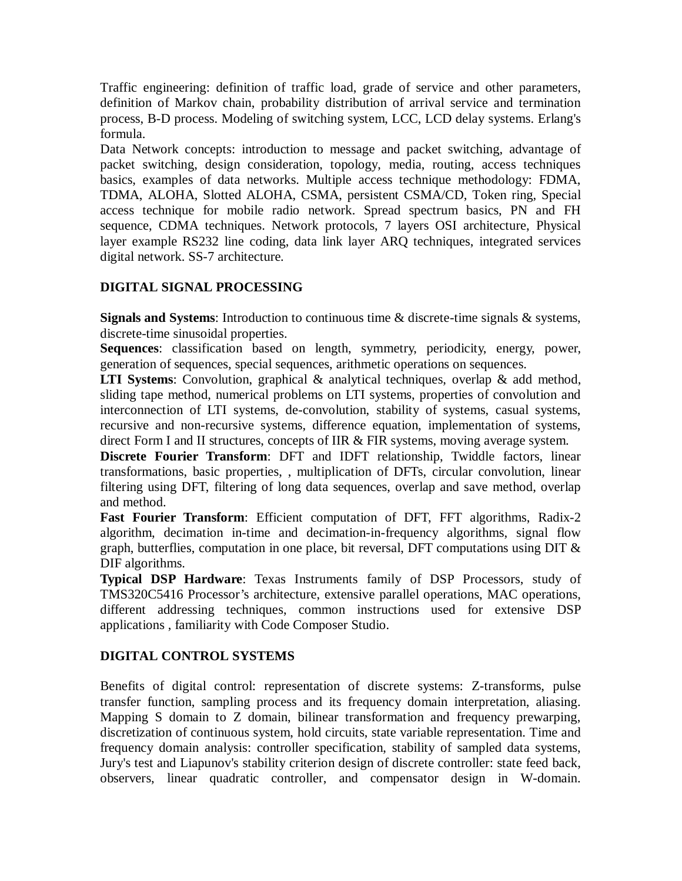Traffic engineering: definition of traffic load, grade of service and other parameters, definition of Markov chain, probability distribution of arrival service and termination process, B-D process. Modeling of switching system, LCC, LCD delay systems. Erlang's formula.

Data Network concepts: introduction to message and packet switching, advantage of packet switching, design consideration, topology, media, routing, access techniques basics, examples of data networks. Multiple access technique methodology: FDMA, TDMA, ALOHA, Slotted ALOHA, CSMA, persistent CSMA/CD, Token ring, Special access technique for mobile radio network. Spread spectrum basics, PN and FH sequence, CDMA techniques. Network protocols, 7 layers OSI architecture, Physical layer example RS232 line coding, data link layer ARQ techniques, integrated services digital network. SS-7 architecture.

# **DIGITAL SIGNAL PROCESSING**

**Signals and Systems**: Introduction to continuous time & discrete-time signals & systems, discrete-time sinusoidal properties.

**Sequences**: classification based on length, symmetry, periodicity, energy, power, generation of sequences, special sequences, arithmetic operations on sequences.

**LTI Systems**: Convolution, graphical & analytical techniques, overlap & add method, sliding tape method, numerical problems on LTI systems, properties of convolution and interconnection of LTI systems, de-convolution, stability of systems, casual systems, recursive and non-recursive systems, difference equation, implementation of systems, direct Form I and II structures, concepts of IIR & FIR systems, moving average system.

**Discrete Fourier Transform**: DFT and IDFT relationship, Twiddle factors, linear transformations, basic properties, , multiplication of DFTs, circular convolution, linear filtering using DFT, filtering of long data sequences, overlap and save method, overlap and method.

**Fast Fourier Transform**: Efficient computation of DFT, FFT algorithms, Radix-2 algorithm, decimation in-time and decimation-in-frequency algorithms, signal flow graph, butterflies, computation in one place, bit reversal, DFT computations using DIT & DIF algorithms.

**Typical DSP Hardware**: Texas Instruments family of DSP Processors, study of TMS320C5416 Processor's architecture, extensive parallel operations, MAC operations, different addressing techniques, common instructions used for extensive DSP applications , familiarity with Code Composer Studio.

# **DIGITAL CONTROL SYSTEMS**

Benefits of digital control: representation of discrete systems: Z-transforms, pulse transfer function, sampling process and its frequency domain interpretation, aliasing. Mapping S domain to Z domain, bilinear transformation and frequency prewarping, discretization of continuous system, hold circuits, state variable representation. Time and frequency domain analysis: controller specification, stability of sampled data systems, Jury's test and Liapunov's stability criterion design of discrete controller: state feed back, observers, linear quadratic controller, and compensator design in W-domain.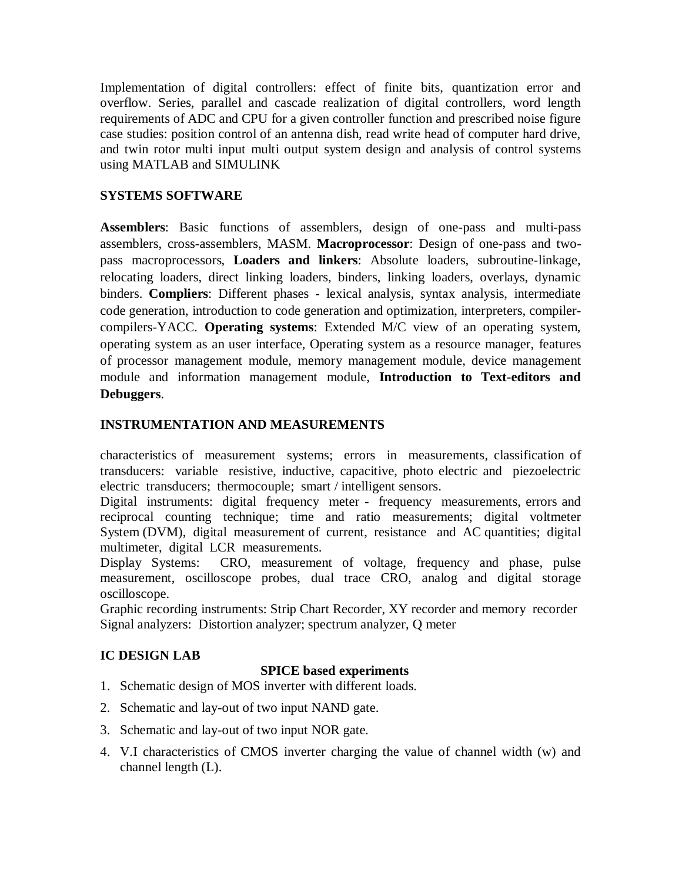Implementation of digital controllers: effect of finite bits, quantization error and overflow. Series, parallel and cascade realization of digital controllers, word length requirements of ADC and CPU for a given controller function and prescribed noise figure case studies: position control of an antenna dish, read write head of computer hard drive, and twin rotor multi input multi output system design and analysis of control systems using MATLAB and SIMULINK

# **SYSTEMS SOFTWARE**

**Assemblers**: Basic functions of assemblers, design of one-pass and multi-pass assemblers, cross-assemblers, MASM. **Macroprocessor**: Design of one-pass and twopass macroprocessors, **Loaders and linkers**: Absolute loaders, subroutine-linkage, relocating loaders, direct linking loaders, binders, linking loaders, overlays, dynamic binders. **Compliers**: Different phases - lexical analysis, syntax analysis, intermediate code generation, introduction to code generation and optimization, interpreters, compilercompilers-YACC. **Operating systems**: Extended M/C view of an operating system, operating system as an user interface, Operating system as a resource manager, features of processor management module, memory management module, device management module and information management module, **Introduction to Text-editors and Debuggers**.

# **INSTRUMENTATION AND MEASUREMENTS**

characteristics of measurement systems; errors in measurements, classification of transducers: variable resistive, inductive, capacitive, photo electric and piezoelectric electric transducers; thermocouple; smart / intelligent sensors.

Digital instruments: digital frequency meter - frequency measurements, errors and reciprocal counting technique; time and ratio measurements; digital voltmeter System (DVM), digital measurement of current, resistance and AC quantities; digital multimeter, digital LCR measurements.

Display Systems: CRO, measurement of voltage, frequency and phase, pulse measurement, oscilloscope probes, dual trace CRO, analog and digital storage oscilloscope.

Graphic recording instruments: Strip Chart Recorder, XY recorder and memory recorder Signal analyzers: Distortion analyzer; spectrum analyzer, Q meter

# **IC DESIGN LAB**

# **SPICE based experiments**

- 1. Schematic design of MOS inverter with different loads.
- 2. Schematic and lay-out of two input NAND gate.
- 3. Schematic and lay-out of two input NOR gate.
- 4. V.I characteristics of CMOS inverter charging the value of channel width (w) and channel length (L).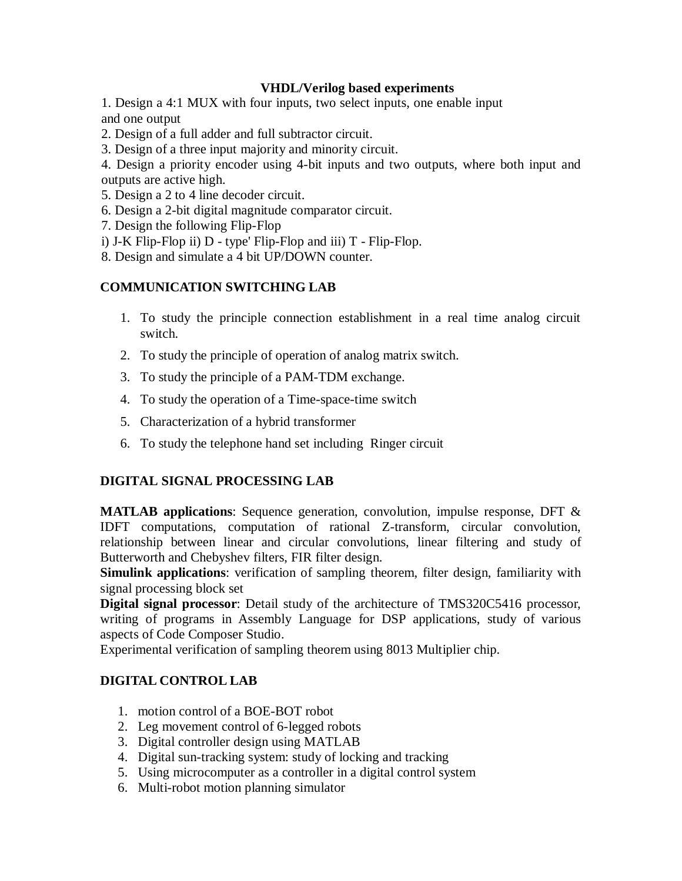## **VHDL/Verilog based experiments**

1. Design a 4:1 MUX with four inputs, two select inputs, one enable input and one output

- 2. Design of a full adder and full subtractor circuit.
- 3. Design of a three input majority and minority circuit.

4. Design a priority encoder using 4-bit inputs and two outputs, where both input and outputs are active high.

- 5. Design a 2 to 4 line decoder circuit.
- 6. Design a 2-bit digital magnitude comparator circuit.
- 7. Design the following Flip-Flop
- i) J-K Flip-Flop ii) D type' Flip-Flop and iii) T Flip-Flop.
- 8. Design and simulate a 4 bit UP/DOWN counter.

## **COMMUNICATION SWITCHING LAB**

- 1. To study the principle connection establishment in a real time analog circuit switch.
- 2. To study the principle of operation of analog matrix switch.
- 3. To study the principle of a PAM-TDM exchange.
- 4. To study the operation of a Time-space-time switch
- 5. Characterization of a hybrid transformer
- 6. To study the telephone hand set including Ringer circuit

## **DIGITAL SIGNAL PROCESSING LAB**

**MATLAB applications**: Sequence generation, convolution, impulse response, DFT & IDFT computations, computation of rational Z-transform, circular convolution, relationship between linear and circular convolutions, linear filtering and study of Butterworth and Chebyshev filters, FIR filter design.

**Simulink applications**: verification of sampling theorem, filter design, familiarity with signal processing block set

**Digital signal processor**: Detail study of the architecture of TMS320C5416 processor, writing of programs in Assembly Language for DSP applications, study of various aspects of Code Composer Studio.

Experimental verification of sampling theorem using 8013 Multiplier chip.

## **DIGITAL CONTROL LAB**

- 1. motion control of a BOE-BOT robot
- 2. Leg movement control of 6-legged robots
- 3. Digital controller design using MATLAB
- 4. Digital sun-tracking system: study of locking and tracking
- 5. Using microcomputer as a controller in a digital control system
- 6. Multi-robot motion planning simulator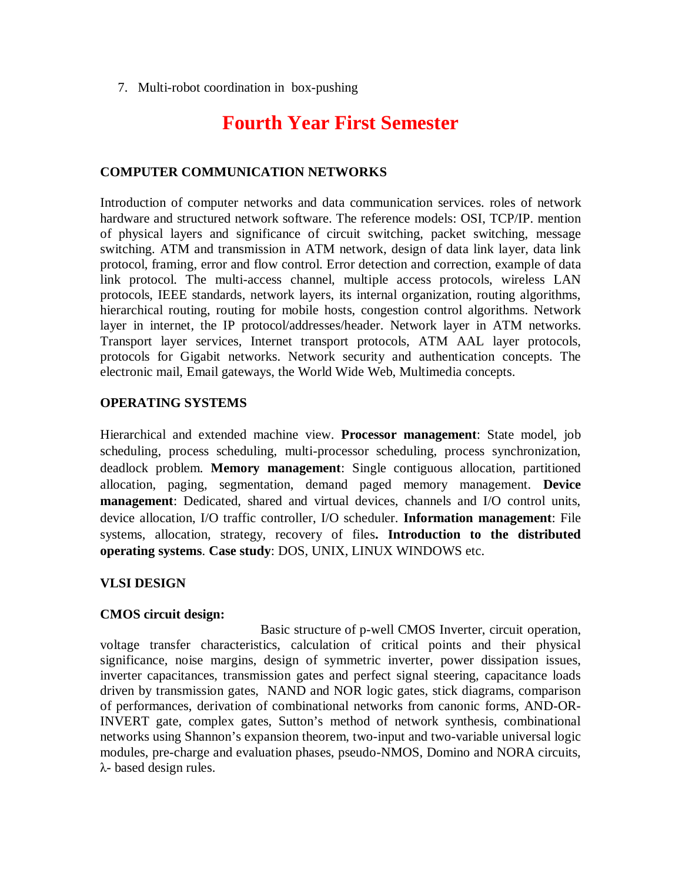7. Multi-robot coordination in box-pushing

# **Fourth Year First Semester**

## **COMPUTER COMMUNICATION NETWORKS**

Introduction of computer networks and data communication services. roles of network hardware and structured network software. The reference models: OSI, TCP/IP. mention of physical layers and significance of circuit switching, packet switching, message switching. ATM and transmission in ATM network, design of data link layer, data link protocol, framing, error and flow control. Error detection and correction, example of data link protocol. The multi-access channel, multiple access protocols, wireless LAN protocols, IEEE standards, network layers, its internal organization, routing algorithms, hierarchical routing, routing for mobile hosts, congestion control algorithms. Network layer in internet, the IP protocol/addresses/header. Network layer in ATM networks. Transport layer services, Internet transport protocols, ATM AAL layer protocols, protocols for Gigabit networks. Network security and authentication concepts. The electronic mail, Email gateways, the World Wide Web, Multimedia concepts.

## **OPERATING SYSTEMS**

Hierarchical and extended machine view. **Processor management**: State model, job scheduling, process scheduling, multi-processor scheduling, process synchronization, deadlock problem. **Memory management**: Single contiguous allocation, partitioned allocation, paging, segmentation, demand paged memory management. **Device management**: Dedicated, shared and virtual devices, channels and I/O control units, device allocation, I/O traffic controller, I/O scheduler. **Information management**: File systems, allocation, strategy, recovery of files**. Introduction to the distributed operating systems**. **Case study**: DOS, UNIX, LINUX WINDOWS etc.

## **VLSI DESIGN**

## **CMOS circuit design:**

Basic structure of p-well CMOS Inverter, circuit operation, voltage transfer characteristics, calculation of critical points and their physical significance, noise margins, design of symmetric inverter, power dissipation issues, inverter capacitances, transmission gates and perfect signal steering, capacitance loads driven by transmission gates, NAND and NOR logic gates, stick diagrams, comparison of performances, derivation of combinational networks from canonic forms, AND-OR-INVERT gate, complex gates, Sutton's method of network synthesis, combinational networks using Shannon's expansion theorem, two-input and two-variable universal logic modules, pre-charge and evaluation phases, pseudo-NMOS, Domino and NORA circuits, λ- based design rules.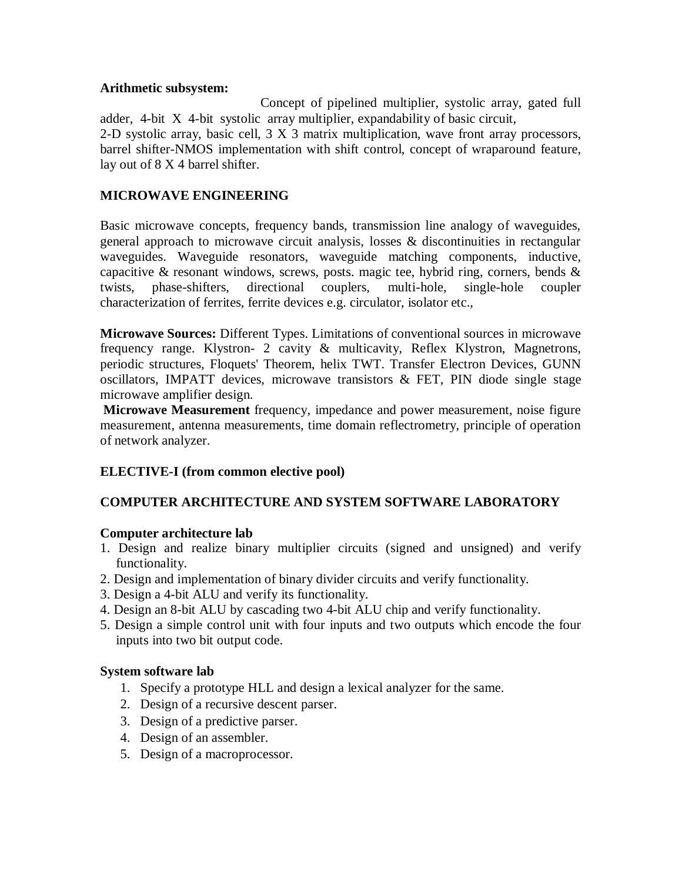## **Arithmetic subsystem:**

Concept of pipelined multiplier, systolic array, gated full adder, 4-bit X 4-bit systolic array multiplier, expandability of basic circuit, 2-D systolic array, basic cell, 3 X 3 matrix multiplication, wave front array processors, barrel shifter-NMOS implementation with shift control, concept of wraparound feature, lay out of 8 X 4 barrel shifter.

# **MICROWAVE ENGINEERING**

Basic microwave concepts, frequency bands, transmission line analogy of waveguides, general approach to microwave circuit analysis, losses & discontinuities in rectangular waveguides. Waveguide resonators, waveguide matching components, inductive, capacitive & resonant windows, screws, posts. magic tee, hybrid ring, corners, bends  $\&$ twists, phase-shifters, directional couplers, multi-hole, single-hole coupler characterization of ferrites, ferrite devices e.g. circulator, isolator etc.,

**Microwave Sources:** Different Types. Limitations of conventional sources in microwave frequency range. Klystron- 2 cavity & multicavity, Reflex Klystron, Magnetrons, periodic structures, Floquets' Theorem, helix TWT. Transfer Electron Devices, GUNN oscillators, IMPATT devices, microwave transistors & FET, PIN diode single stage microwave amplifier design.

**Microwave Measurement** frequency, impedance and power measurement, noise figure measurement, antenna measurements, time domain reflectrometry, principle of operation of network analyzer.

# **ELECTIVE-I (from common elective pool)**

# **COMPUTER ARCHITECTURE AND SYSTEM SOFTWARE LABORATORY**

# **Computer architecture lab**

- 1. Design and realize binary multiplier circuits (signed and unsigned) and verify functionality.
- 2. Design and implementation of binary divider circuits and verify functionality.
- 3. Design a 4-bit ALU and verify its functionality.
- 4. Design an 8-bit ALU by cascading two 4-bit ALU chip and verify functionality.
- 5. Design a simple control unit with four inputs and two outputs which encode the four inputs into two bit output code.

# **System software lab**

- 1. Specify a prototype HLL and design a lexical analyzer for the same.
- 2. Design of a recursive descent parser.
- 3. Design of a predictive parser.
- 4. Design of an assembler.
- 5. Design of a macroprocessor.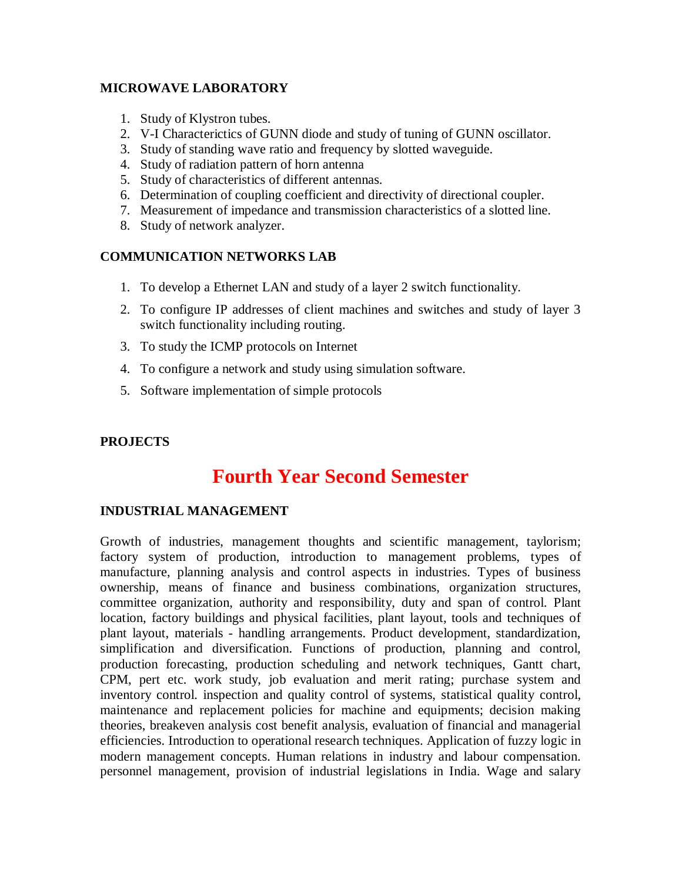# **MICROWAVE LABORATORY**

- 1. Study of Klystron tubes.
- 2. V-I Characterictics of GUNN diode and study of tuning of GUNN oscillator.
- 3. Study of standing wave ratio and frequency by slotted waveguide.
- 4. Study of radiation pattern of horn antenna
- 5. Study of characteristics of different antennas.
- 6. Determination of coupling coefficient and directivity of directional coupler.
- 7. Measurement of impedance and transmission characteristics of a slotted line.
- 8. Study of network analyzer.

## **COMMUNICATION NETWORKS LAB**

- 1. To develop a Ethernet LAN and study of a layer 2 switch functionality.
- 2. To configure IP addresses of client machines and switches and study of layer 3 switch functionality including routing.
- 3. To study the ICMP protocols on Internet
- 4. To configure a network and study using simulation software.
- 5. Software implementation of simple protocols

# **PROJECTS**

# **Fourth Year Second Semester**

# **INDUSTRIAL MANAGEMENT**

Growth of industries, management thoughts and scientific management, taylorism; factory system of production, introduction to management problems, types of manufacture, planning analysis and control aspects in industries. Types of business ownership, means of finance and business combinations, organization structures, committee organization, authority and responsibility, duty and span of control. Plant location, factory buildings and physical facilities, plant layout, tools and techniques of plant layout, materials - handling arrangements. Product development, standardization, simplification and diversification. Functions of production, planning and control, production forecasting, production scheduling and network techniques, Gantt chart, CPM, pert etc. work study, job evaluation and merit rating; purchase system and inventory control. inspection and quality control of systems, statistical quality control, maintenance and replacement policies for machine and equipments; decision making theories, breakeven analysis cost benefit analysis, evaluation of financial and managerial efficiencies. Introduction to operational research techniques. Application of fuzzy logic in modern management concepts. Human relations in industry and labour compensation. personnel management, provision of industrial legislations in India. Wage and salary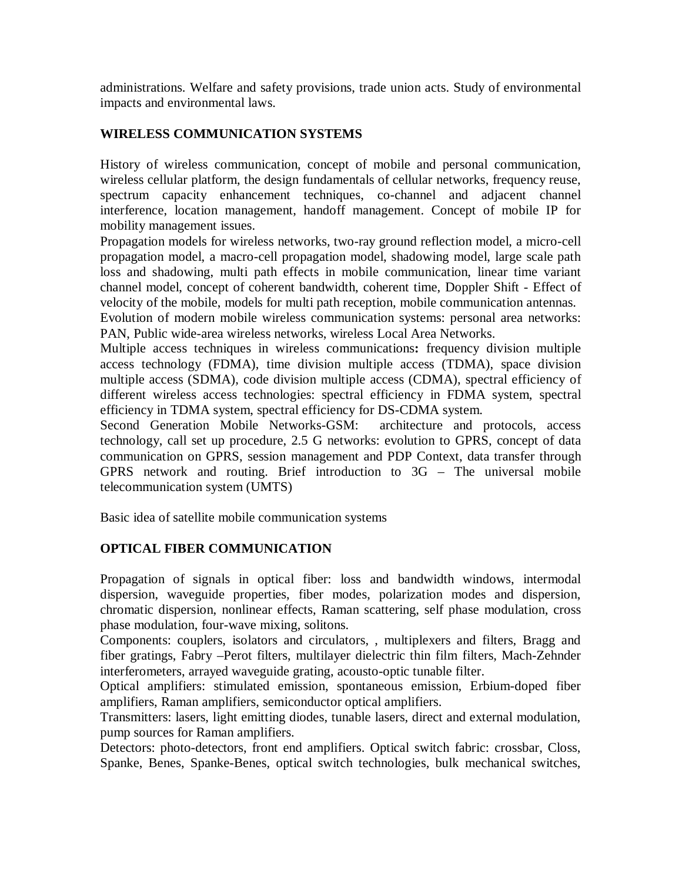administrations. Welfare and safety provisions, trade union acts. Study of environmental impacts and environmental laws.

# **WIRELESS COMMUNICATION SYSTEMS**

History of wireless communication, concept of mobile and personal communication, wireless cellular platform, the design fundamentals of cellular networks, frequency reuse, spectrum capacity enhancement techniques, co-channel and adjacent channel interference, location management, handoff management. Concept of mobile IP for mobility management issues.

Propagation models for wireless networks, two-ray ground reflection model, a micro-cell propagation model, a macro-cell propagation model, shadowing model, large scale path loss and shadowing, multi path effects in mobile communication, linear time variant channel model, concept of coherent bandwidth, coherent time, Doppler Shift - Effect of velocity of the mobile, models for multi path reception, mobile communication antennas.

Evolution of modern mobile wireless communication systems: personal area networks: PAN, Public wide-area wireless networks, wireless Local Area Networks.

Multiple access techniques in wireless communications**:** frequency division multiple access technology (FDMA), time division multiple access (TDMA), space division multiple access (SDMA), code division multiple access (CDMA), spectral efficiency of different wireless access technologies: spectral efficiency in FDMA system, spectral efficiency in TDMA system, spectral efficiency for DS-CDMA system.

Second Generation Mobile Networks-GSM: architecture and protocols, access technology, call set up procedure, 2.5 G networks: evolution to GPRS, concept of data communication on GPRS, session management and PDP Context, data transfer through GPRS network and routing. Brief introduction to 3G – The universal mobile telecommunication system (UMTS)

Basic idea of satellite mobile communication systems

# **OPTICAL FIBER COMMUNICATION**

Propagation of signals in optical fiber: loss and bandwidth windows, intermodal dispersion, waveguide properties, fiber modes, polarization modes and dispersion, chromatic dispersion, nonlinear effects, Raman scattering, self phase modulation, cross phase modulation, four-wave mixing, solitons.

Components: couplers, isolators and circulators, , multiplexers and filters, Bragg and fiber gratings, Fabry –Perot filters, multilayer dielectric thin film filters, Mach-Zehnder interferometers, arrayed waveguide grating, acousto-optic tunable filter.

Optical amplifiers: stimulated emission, spontaneous emission, Erbium-doped fiber amplifiers, Raman amplifiers, semiconductor optical amplifiers.

Transmitters: lasers, light emitting diodes, tunable lasers, direct and external modulation, pump sources for Raman amplifiers.

Detectors: photo-detectors, front end amplifiers. Optical switch fabric: crossbar, Closs, Spanke, Benes, Spanke-Benes, optical switch technologies, bulk mechanical switches,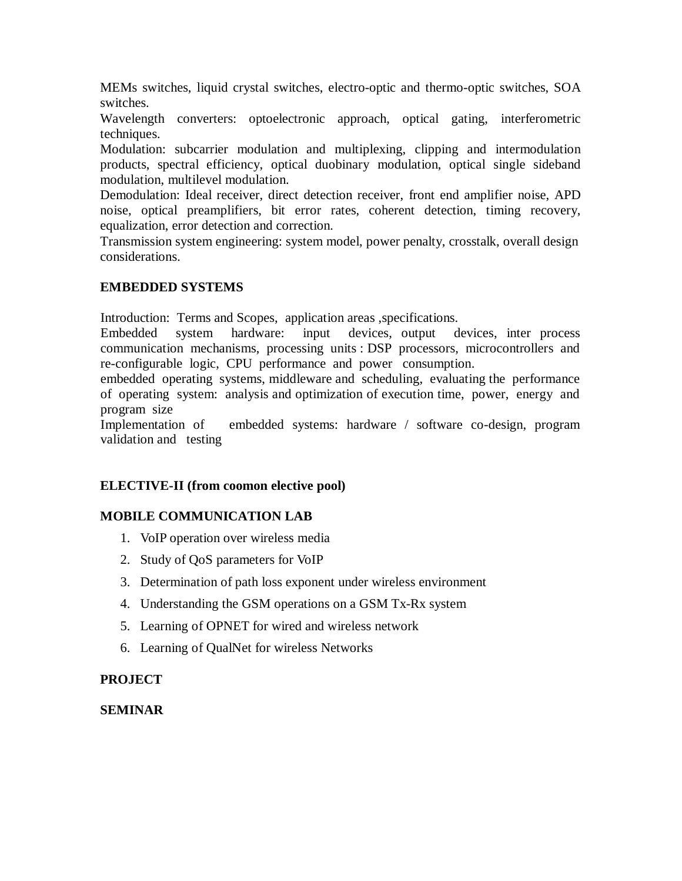MEMs switches, liquid crystal switches, electro-optic and thermo-optic switches, SOA switches.

Wavelength converters: optoelectronic approach, optical gating, interferometric techniques.

Modulation: subcarrier modulation and multiplexing, clipping and intermodulation products, spectral efficiency, optical duobinary modulation, optical single sideband modulation, multilevel modulation.

Demodulation: Ideal receiver, direct detection receiver, front end amplifier noise, APD noise, optical preamplifiers, bit error rates, coherent detection, timing recovery, equalization, error detection and correction.

Transmission system engineering: system model, power penalty, crosstalk, overall design considerations.

# **EMBEDDED SYSTEMS**

Introduction: Terms and Scopes, application areas ,specifications.

Embedded system hardware: input devices, output devices, inter process communication mechanisms, processing units : DSP processors, microcontrollers and re-configurable logic, CPU performance and power consumption.

embedded operating systems, middleware and scheduling, evaluating the performance of operating system: analysis and optimization of execution time, power, energy and program size

Implementation of embedded systems: hardware / software co-design, program validation and testing

# **ELECTIVE-II (from coomon elective pool)**

# **MOBILE COMMUNICATION LAB**

- 1. VoIP operation over wireless media
- 2. Study of QoS parameters for VoIP
- 3. Determination of path loss exponent under wireless environment
- 4. Understanding the GSM operations on a GSM Tx-Rx system
- 5. Learning of OPNET for wired and wireless network
- 6. Learning of QualNet for wireless Networks

# **PROJECT**

# **SEMINAR**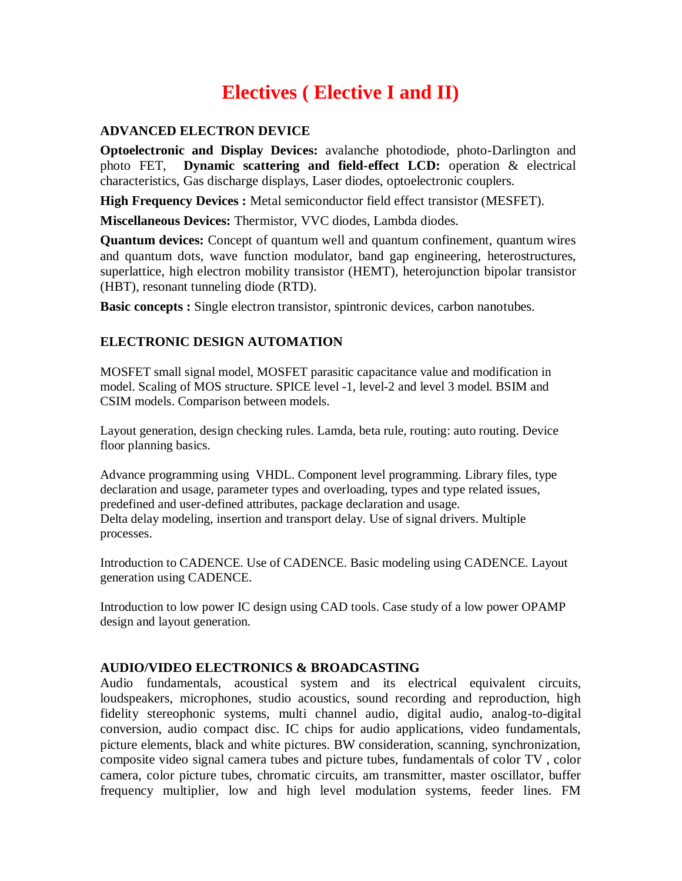# **Electives ( Elective I and II)**

## **ADVANCED ELECTRON DEVICE**

**Optoelectronic and Display Devices:** avalanche photodiode, photo-Darlington and photo FET, **Dynamic scattering and field-effect LCD:** operation & electrical characteristics, Gas discharge displays, Laser diodes, optoelectronic couplers.

**High Frequency Devices :** Metal semiconductor field effect transistor (MESFET).

**Miscellaneous Devices:** Thermistor, VVC diodes, Lambda diodes.

**Quantum devices:** Concept of quantum well and quantum confinement, quantum wires and quantum dots, wave function modulator, band gap engineering, heterostructures, superlattice, high electron mobility transistor (HEMT), heterojunction bipolar transistor (HBT), resonant tunneling diode (RTD).

**Basic concepts :** Single electron transistor, spintronic devices, carbon nanotubes.

# **ELECTRONIC DESIGN AUTOMATION**

MOSFET small signal model, MOSFET parasitic capacitance value and modification in model. Scaling of MOS structure. SPICE level -1, level-2 and level 3 model. BSIM and CSIM models. Comparison between models.

Layout generation, design checking rules. Lamda, beta rule, routing: auto routing. Device floor planning basics.

Advance programming using VHDL. Component level programming. Library files, type declaration and usage, parameter types and overloading, types and type related issues, predefined and user-defined attributes, package declaration and usage. Delta delay modeling, insertion and transport delay. Use of signal drivers. Multiple processes.

Introduction to CADENCE. Use of CADENCE. Basic modeling using CADENCE. Layout generation using CADENCE.

Introduction to low power IC design using CAD tools. Case study of a low power OPAMP design and layout generation.

## **AUDIO/VIDEO ELECTRONICS & BROADCASTING**

Audio fundamentals, acoustical system and its electrical equivalent circuits, loudspeakers, microphones, studio acoustics, sound recording and reproduction, high fidelity stereophonic systems, multi channel audio, digital audio, analog-to-digital conversion, audio compact disc. IC chips for audio applications, video fundamentals, picture elements, black and white pictures. BW consideration, scanning, synchronization, composite video signal camera tubes and picture tubes, fundamentals of color TV , color camera, color picture tubes, chromatic circuits, am transmitter, master oscillator, buffer frequency multiplier, low and high level modulation systems, feeder lines. FM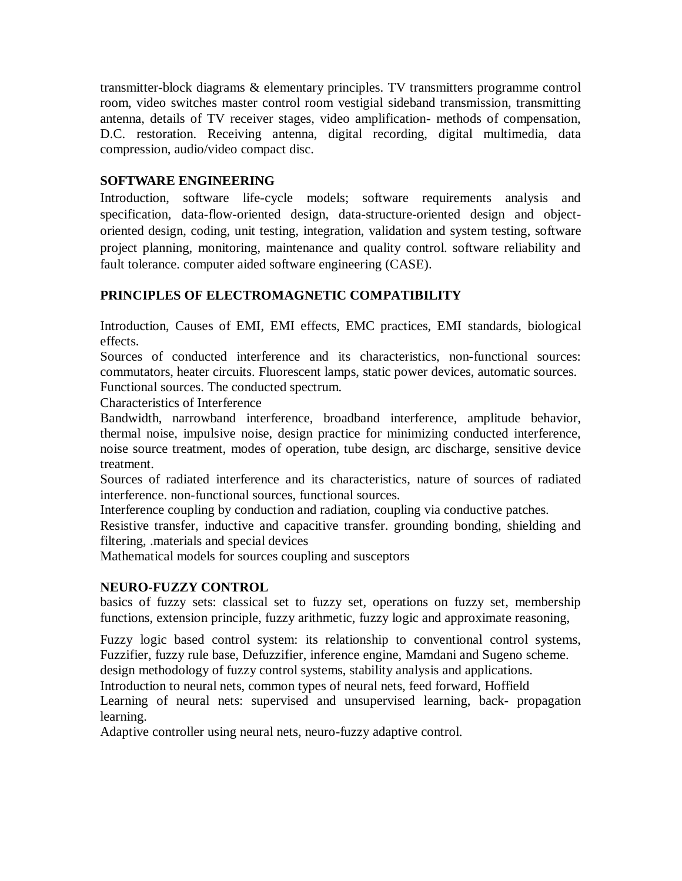transmitter-block diagrams & elementary principles. TV transmitters programme control room, video switches master control room vestigial sideband transmission, transmitting antenna, details of TV receiver stages, video amplification- methods of compensation, D.C. restoration. Receiving antenna, digital recording, digital multimedia, data compression, audio/video compact disc.

# **SOFTWARE ENGINEERING**

Introduction, software life-cycle models; software requirements analysis and specification, data-flow-oriented design, data-structure-oriented design and objectoriented design, coding, unit testing, integration, validation and system testing, software project planning, monitoring, maintenance and quality control. software reliability and fault tolerance. computer aided software engineering (CASE).

# **PRINCIPLES OF ELECTROMAGNETIC COMPATIBILITY**

Introduction, Causes of EMI, EMI effects, EMC practices, EMI standards, biological effects.

Sources of conducted interference and its characteristics, non-functional sources: commutators, heater circuits. Fluorescent lamps, static power devices, automatic sources. Functional sources. The conducted spectrum.

Characteristics of Interference

Bandwidth, narrowband interference, broadband interference, amplitude behavior, thermal noise, impulsive noise, design practice for minimizing conducted interference, noise source treatment, modes of operation, tube design, arc discharge, sensitive device treatment.

Sources of radiated interference and its characteristics, nature of sources of radiated interference. non-functional sources, functional sources.

Interference coupling by conduction and radiation, coupling via conductive patches.

Resistive transfer, inductive and capacitive transfer. grounding bonding, shielding and filtering, .materials and special devices

Mathematical models for sources coupling and susceptors

# **NEURO-FUZZY CONTROL**

basics of fuzzy sets: classical set to fuzzy set, operations on fuzzy set, membership functions, extension principle, fuzzy arithmetic, fuzzy logic and approximate reasoning,

Fuzzy logic based control system: its relationship to conventional control systems, Fuzzifier, fuzzy rule base, Defuzzifier, inference engine, Mamdani and Sugeno scheme. design methodology of fuzzy control systems, stability analysis and applications.

Introduction to neural nets, common types of neural nets, feed forward, Hoffield

Learning of neural nets: supervised and unsupervised learning, back- propagation learning.

Adaptive controller using neural nets, neuro-fuzzy adaptive control.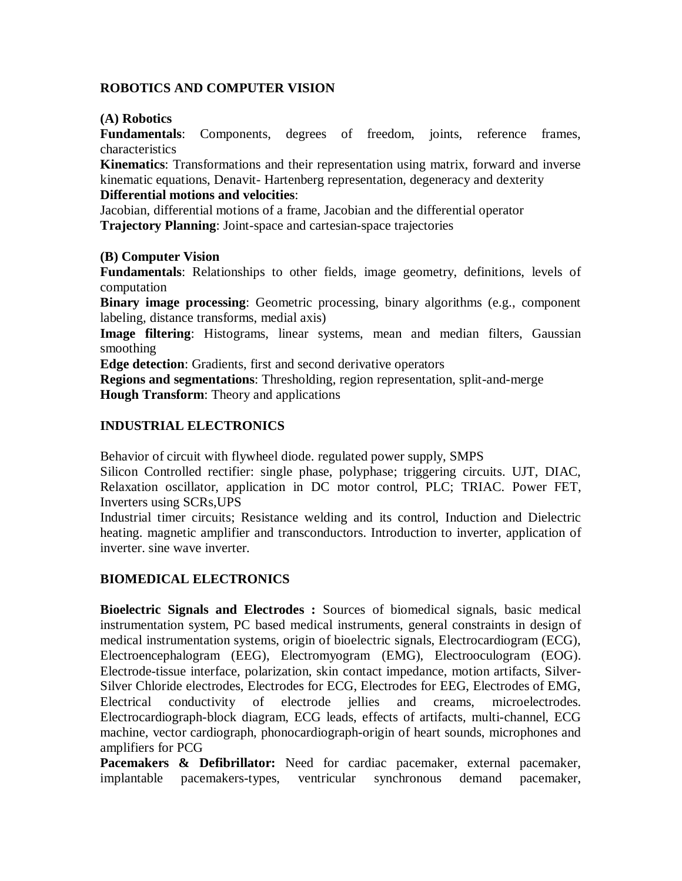## **ROBOTICS AND COMPUTER VISION**

#### **(A) Robotics**

**Fundamentals**: Components, degrees of freedom, joints, reference frames, characteristics

**Kinematics**: Transformations and their representation using matrix, forward and inverse kinematic equations, Denavit- Hartenberg representation, degeneracy and dexterity

#### **Differential motions and velocities**:

Jacobian, differential motions of a frame, Jacobian and the differential operator **Trajectory Planning**: Joint-space and cartesian-space trajectories

## **(B) Computer Vision**

**Fundamentals**: Relationships to other fields, image geometry, definitions, levels of computation

**Binary image processing**: Geometric processing, binary algorithms (e.g., component labeling, distance transforms, medial axis)

**Image filtering**: Histograms, linear systems, mean and median filters, Gaussian smoothing

**Edge detection**: Gradients, first and second derivative operators

**Regions and segmentations**: Thresholding, region representation, split-and-merge **Hough Transform**: Theory and applications

## **INDUSTRIAL ELECTRONICS**

Behavior of circuit with flywheel diode. regulated power supply, SMPS

Silicon Controlled rectifier: single phase, polyphase; triggering circuits. UJT, DIAC, Relaxation oscillator, application in DC motor control, PLC; TRIAC. Power FET, Inverters using SCRs,UPS

Industrial timer circuits; Resistance welding and its control, Induction and Dielectric heating. magnetic amplifier and transconductors. Introduction to inverter, application of inverter. sine wave inverter.

## **BIOMEDICAL ELECTRONICS**

**Bioelectric Signals and Electrodes :** Sources of biomedical signals, basic medical instrumentation system, PC based medical instruments, general constraints in design of medical instrumentation systems, origin of bioelectric signals, Electrocardiogram (ECG), Electroencephalogram (EEG), Electromyogram (EMG), Electrooculogram (EOG). Electrode-tissue interface, polarization, skin contact impedance, motion artifacts, Silver-Silver Chloride electrodes, Electrodes for ECG, Electrodes for EEG, Electrodes of EMG, Electrical conductivity of electrode jellies and creams, microelectrodes. Electrocardiograph-block diagram, ECG leads, effects of artifacts, multi-channel, ECG machine, vector cardiograph, phonocardiograph-origin of heart sounds, microphones and amplifiers for PCG

Pacemakers & Defibrillator: Need for cardiac pacemaker, external pacemaker, implantable pacemakers-types, ventricular synchronous demand pacemaker,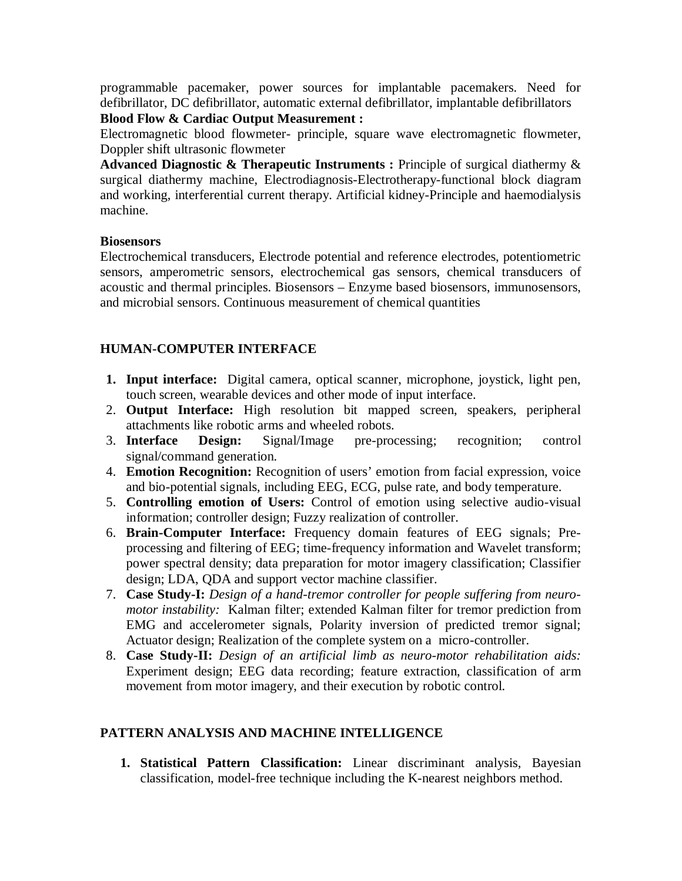programmable pacemaker, power sources for implantable pacemakers. Need for defibrillator, DC defibrillator, automatic external defibrillator, implantable defibrillators

**Blood Flow & Cardiac Output Measurement :**

Electromagnetic blood flowmeter- principle, square wave electromagnetic flowmeter, Doppler shift ultrasonic flowmeter

**Advanced Diagnostic & Therapeutic Instruments :** Principle of surgical diathermy & surgical diathermy machine, Electrodiagnosis-Electrotherapy-functional block diagram and working, interferential current therapy. Artificial kidney-Principle and haemodialysis machine.

## **Biosensors**

Electrochemical transducers, Electrode potential and reference electrodes, potentiometric sensors, amperometric sensors, electrochemical gas sensors, chemical transducers of acoustic and thermal principles. Biosensors – Enzyme based biosensors, immunosensors, and microbial sensors. Continuous measurement of chemical quantities

# **HUMAN-COMPUTER INTERFACE**

- **1. Input interface:** Digital camera, optical scanner, microphone, joystick, light pen, touch screen, wearable devices and other mode of input interface.
- 2. **Output Interface:** High resolution bit mapped screen, speakers, peripheral attachments like robotic arms and wheeled robots.
- 3. **Interface Design:** Signal/Image pre-processing; recognition; control signal/command generation.
- 4. **Emotion Recognition:** Recognition of users' emotion from facial expression, voice and bio-potential signals, including EEG, ECG, pulse rate, and body temperature.
- 5. **Controlling emotion of Users:** Control of emotion using selective audio-visual information; controller design; Fuzzy realization of controller.
- 6. **Brain-Computer Interface:** Frequency domain features of EEG signals; Preprocessing and filtering of EEG; time-frequency information and Wavelet transform; power spectral density; data preparation for motor imagery classification; Classifier design; LDA, QDA and support vector machine classifier.
- 7. **Case Study-I:** *Design of a hand-tremor controller for people suffering from neuromotor instability:* Kalman filter; extended Kalman filter for tremor prediction from EMG and accelerometer signals, Polarity inversion of predicted tremor signal; Actuator design; Realization of the complete system on a micro-controller.
- 8. **Case Study-II:** *Design of an artificial limb as neuro-motor rehabilitation aids:*  Experiment design; EEG data recording; feature extraction, classification of arm movement from motor imagery, and their execution by robotic control.

# **PATTERN ANALYSIS AND MACHINE INTELLIGENCE**

**1. Statistical Pattern Classification:** Linear discriminant analysis, Bayesian classification, model-free technique including the K-nearest neighbors method.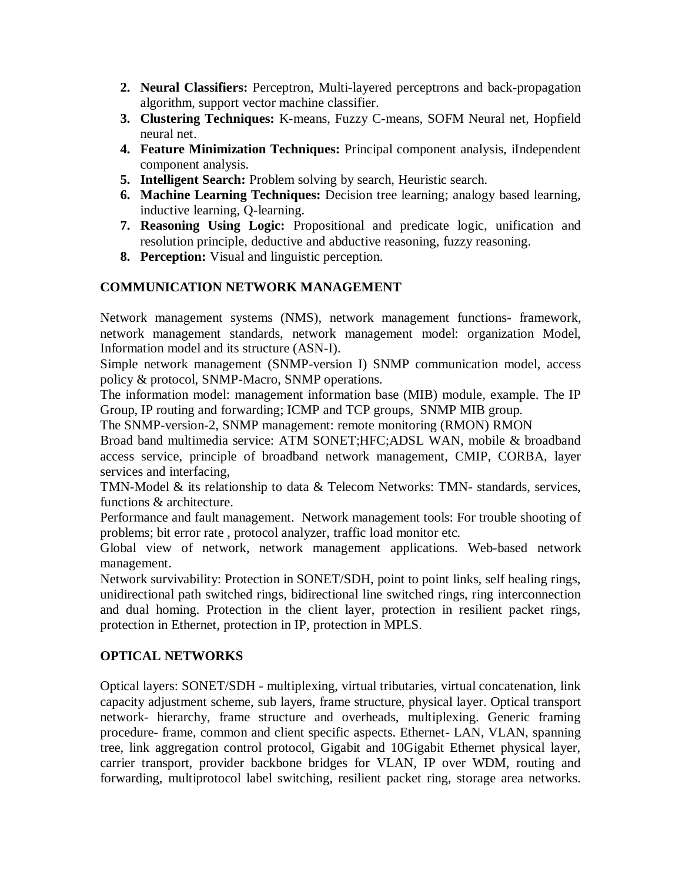- **2. Neural Classifiers:** Perceptron, Multi-layered perceptrons and back-propagation algorithm, support vector machine classifier.
- **3. Clustering Techniques:** K-means, Fuzzy C-means, SOFM Neural net, Hopfield neural net.
- **4. Feature Minimization Techniques:** Principal component analysis, iIndependent component analysis.
- **5. Intelligent Search:** Problem solving by search, Heuristic search.
- **6. Machine Learning Techniques:** Decision tree learning; analogy based learning, inductive learning, Q-learning.
- **7. Reasoning Using Logic:** Propositional and predicate logic, unification and resolution principle, deductive and abductive reasoning, fuzzy reasoning.
- **8. Perception:** Visual and linguistic perception.

# **COMMUNICATION NETWORK MANAGEMENT**

Network management systems (NMS), network management functions- framework, network management standards, network management model: organization Model, Information model and its structure (ASN-I).

Simple network management (SNMP-version I) SNMP communication model, access policy & protocol, SNMP-Macro, SNMP operations.

The information model: management information base (MIB) module, example. The IP Group, IP routing and forwarding; ICMP and TCP groups, SNMP MIB group.

The SNMP-version-2, SNMP management: remote monitoring (RMON) RMON

Broad band multimedia service: ATM SONET;HFC;ADSL WAN, mobile & broadband access service, principle of broadband network management, CMIP, CORBA, layer services and interfacing,

TMN-Model & its relationship to data & Telecom Networks: TMN- standards, services, functions & architecture.

Performance and fault management. Network management tools: For trouble shooting of problems; bit error rate , protocol analyzer, traffic load monitor etc.

Global view of network, network management applications. Web-based network management.

Network survivability: Protection in SONET/SDH, point to point links, self healing rings, unidirectional path switched rings, bidirectional line switched rings, ring interconnection and dual homing. Protection in the client layer, protection in resilient packet rings, protection in Ethernet, protection in IP, protection in MPLS.

# **OPTICAL NETWORKS**

Optical layers: SONET/SDH - multiplexing, virtual tributaries, virtual concatenation, link capacity adjustment scheme, sub layers, frame structure, physical layer. Optical transport network- hierarchy, frame structure and overheads, multiplexing. Generic framing procedure- frame, common and client specific aspects. Ethernet- LAN, VLAN, spanning tree, link aggregation control protocol, Gigabit and 10Gigabit Ethernet physical layer, carrier transport, provider backbone bridges for VLAN, IP over WDM, routing and forwarding, multiprotocol label switching, resilient packet ring, storage area networks.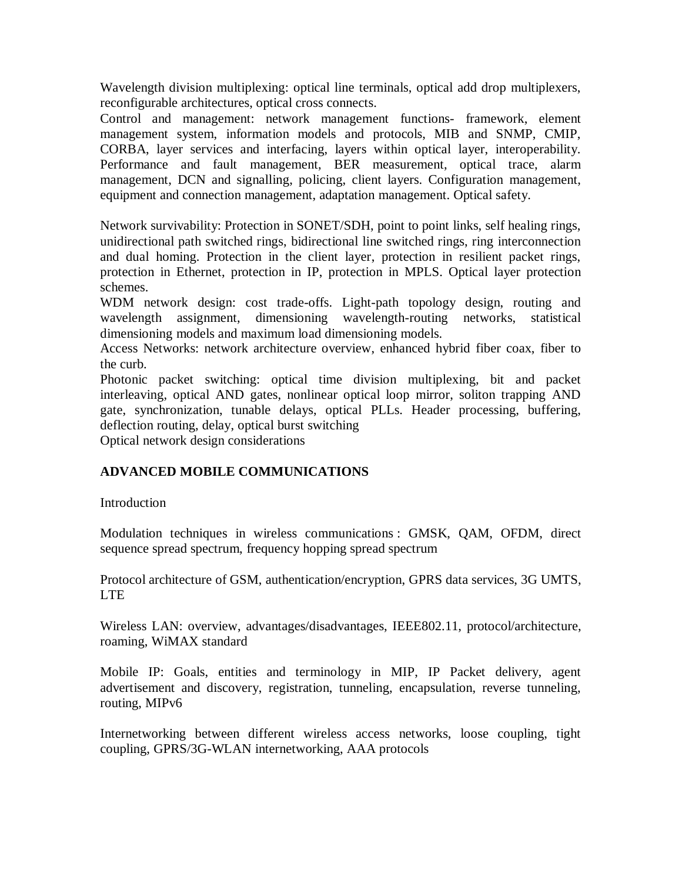Wavelength division multiplexing: optical line terminals, optical add drop multiplexers, reconfigurable architectures, optical cross connects.

Control and management: network management functions- framework, element management system, information models and protocols, MIB and SNMP, CMIP, CORBA, layer services and interfacing, layers within optical layer, interoperability. Performance and fault management, BER measurement, optical trace, alarm management, DCN and signalling, policing, client layers. Configuration management, equipment and connection management, adaptation management. Optical safety.

Network survivability: Protection in SONET/SDH, point to point links, self healing rings, unidirectional path switched rings, bidirectional line switched rings, ring interconnection and dual homing. Protection in the client layer, protection in resilient packet rings, protection in Ethernet, protection in IP, protection in MPLS. Optical layer protection schemes.

WDM network design: cost trade-offs. Light-path topology design, routing and wavelength assignment, dimensioning wavelength-routing networks, statistical dimensioning models and maximum load dimensioning models.

Access Networks: network architecture overview, enhanced hybrid fiber coax, fiber to the curb.

Photonic packet switching: optical time division multiplexing, bit and packet interleaving, optical AND gates, nonlinear optical loop mirror, soliton trapping AND gate, synchronization, tunable delays, optical PLLs. Header processing, buffering, deflection routing, delay, optical burst switching

Optical network design considerations

# **ADVANCED MOBILE COMMUNICATIONS**

## Introduction

Modulation techniques in wireless communications : GMSK, QAM, OFDM, direct sequence spread spectrum, frequency hopping spread spectrum

Protocol architecture of GSM, authentication/encryption, GPRS data services, 3G UMTS, LTE

Wireless LAN: overview, advantages/disadvantages, IEEE802.11, protocol/architecture, roaming, WiMAX standard

Mobile IP: Goals, entities and terminology in MIP, IP Packet delivery, agent advertisement and discovery, registration, tunneling, encapsulation, reverse tunneling, routing, MIPv6

Internetworking between different wireless access networks, loose coupling, tight coupling, GPRS/3G-WLAN internetworking, AAA protocols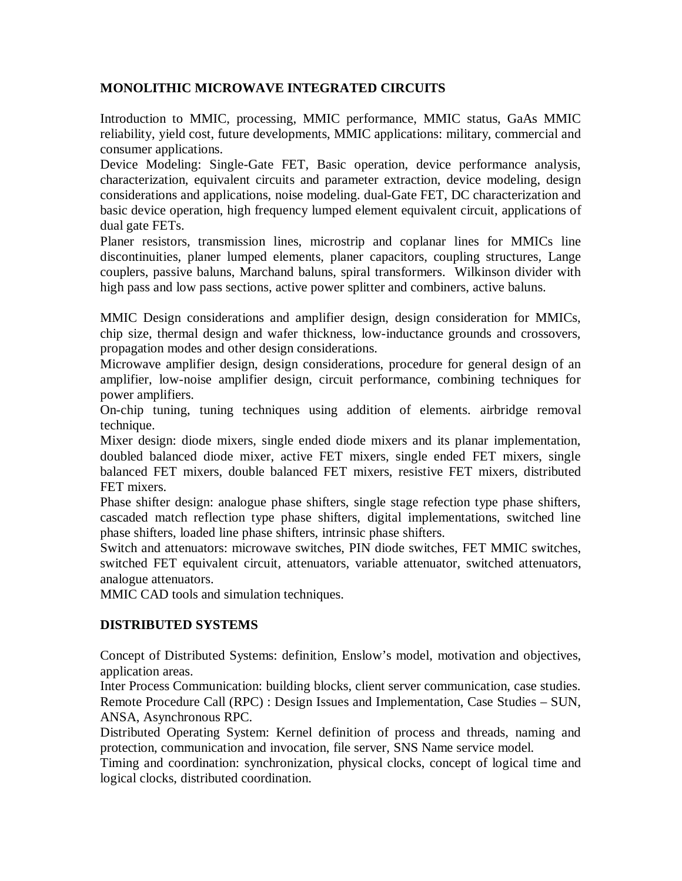# **MONOLITHIC MICROWAVE INTEGRATED CIRCUITS**

Introduction to MMIC, processing, MMIC performance, MMIC status, GaAs MMIC reliability, yield cost, future developments, MMIC applications: military, commercial and consumer applications.

Device Modeling: Single-Gate FET, Basic operation, device performance analysis, characterization, equivalent circuits and parameter extraction, device modeling, design considerations and applications, noise modeling. dual-Gate FET, DC characterization and basic device operation, high frequency lumped element equivalent circuit, applications of dual gate FETs.

Planer resistors, transmission lines, microstrip and coplanar lines for MMICs line discontinuities, planer lumped elements, planer capacitors, coupling structures, Lange couplers, passive baluns, Marchand baluns, spiral transformers. Wilkinson divider with high pass and low pass sections, active power splitter and combiners, active baluns.

MMIC Design considerations and amplifier design, design consideration for MMICs, chip size, thermal design and wafer thickness, low-inductance grounds and crossovers, propagation modes and other design considerations.

Microwave amplifier design, design considerations, procedure for general design of an amplifier, low-noise amplifier design, circuit performance, combining techniques for power amplifiers.

On-chip tuning, tuning techniques using addition of elements. airbridge removal technique.

Mixer design: diode mixers, single ended diode mixers and its planar implementation, doubled balanced diode mixer, active FET mixers, single ended FET mixers, single balanced FET mixers, double balanced FET mixers, resistive FET mixers, distributed FET mixers.

Phase shifter design: analogue phase shifters, single stage refection type phase shifters, cascaded match reflection type phase shifters, digital implementations, switched line phase shifters, loaded line phase shifters, intrinsic phase shifters.

Switch and attenuators: microwave switches, PIN diode switches, FET MMIC switches, switched FET equivalent circuit, attenuators, variable attenuator, switched attenuators, analogue attenuators.

MMIC CAD tools and simulation techniques.

# **DISTRIBUTED SYSTEMS**

Concept of Distributed Systems: definition, Enslow's model, motivation and objectives, application areas.

Inter Process Communication: building blocks, client server communication, case studies. Remote Procedure Call (RPC) : Design Issues and Implementation, Case Studies – SUN, ANSA, Asynchronous RPC.

Distributed Operating System: Kernel definition of process and threads, naming and protection, communication and invocation, file server, SNS Name service model.

Timing and coordination: synchronization, physical clocks, concept of logical time and logical clocks, distributed coordination.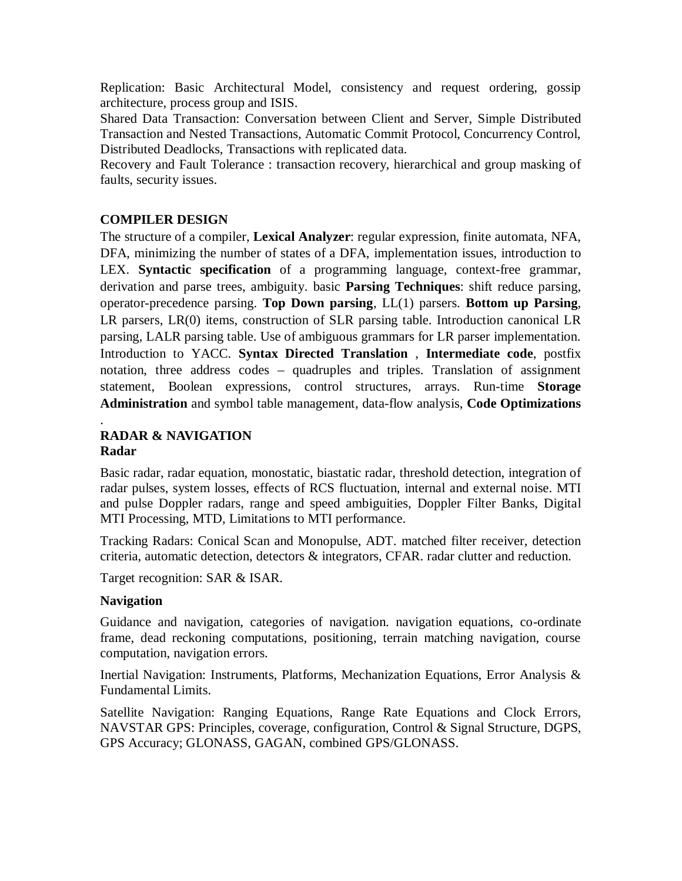Replication: Basic Architectural Model, consistency and request ordering, gossip architecture, process group and ISIS.

Shared Data Transaction: Conversation between Client and Server, Simple Distributed Transaction and Nested Transactions, Automatic Commit Protocol, Concurrency Control, Distributed Deadlocks, Transactions with replicated data.

Recovery and Fault Tolerance : transaction recovery, hierarchical and group masking of faults, security issues.

# **COMPILER DESIGN**

The structure of a compiler, **Lexical Analyzer**: regular expression, finite automata, NFA, DFA, minimizing the number of states of a DFA, implementation issues, introduction to LEX. **Syntactic specification** of a programming language, context-free grammar, derivation and parse trees, ambiguity. basic **Parsing Techniques**: shift reduce parsing, operator-precedence parsing. **Top Down parsing**, LL(1) parsers. **Bottom up Parsing**, LR parsers, LR(0) items, construction of SLR parsing table. Introduction canonical LR parsing, LALR parsing table. Use of ambiguous grammars for LR parser implementation. Introduction to YACC. **Syntax Directed Translation** , **Intermediate code**, postfix notation, three address codes – quadruples and triples. Translation of assignment statement, Boolean expressions, control structures, arrays. Run-time **Storage Administration** and symbol table management, data-flow analysis, **Code Optimizations**

#### . **RADAR & NAVIGATION Radar**

Basic radar, radar equation, monostatic, biastatic radar, threshold detection, integration of radar pulses, system losses, effects of RCS fluctuation, internal and external noise. MTI and pulse Doppler radars, range and speed ambiguities, Doppler Filter Banks, Digital MTI Processing, MTD, Limitations to MTI performance.

Tracking Radars: Conical Scan and Monopulse, ADT. matched filter receiver, detection criteria, automatic detection, detectors & integrators, CFAR. radar clutter and reduction.

Target recognition: SAR & ISAR.

# **Navigation**

Guidance and navigation, categories of navigation. navigation equations, co-ordinate frame, dead reckoning computations, positioning, terrain matching navigation, course computation, navigation errors.

Inertial Navigation: Instruments, Platforms, Mechanization Equations, Error Analysis & Fundamental Limits.

Satellite Navigation: Ranging Equations, Range Rate Equations and Clock Errors, NAVSTAR GPS: Principles, coverage, configuration, Control & Signal Structure, DGPS, GPS Accuracy; GLONASS, GAGAN, combined GPS/GLONASS.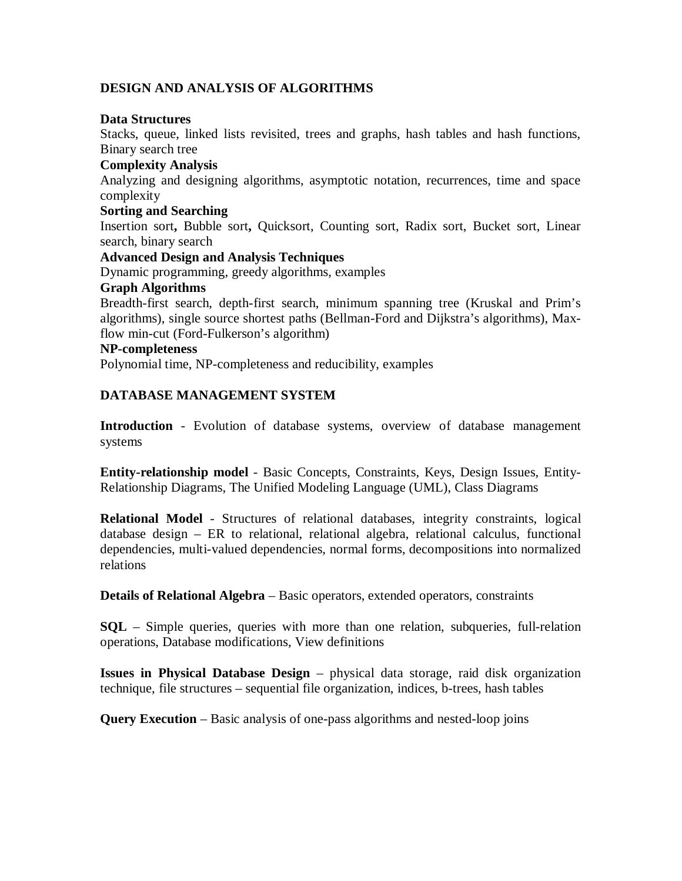## **DESIGN AND ANALYSIS OF ALGORITHMS**

#### **Data Structures**

Stacks, queue, linked lists revisited, trees and graphs, hash tables and hash functions, Binary search tree

## **Complexity Analysis**

Analyzing and designing algorithms, asymptotic notation, recurrences, time and space complexity

#### **Sorting and Searching**

Insertion sort**,** Bubble sort**,** Quicksort, Counting sort, Radix sort, Bucket sort, Linear search, binary search

## **Advanced Design and Analysis Techniques**

Dynamic programming, greedy algorithms, examples

## **Graph Algorithms**

Breadth-first search, depth-first search, minimum spanning tree (Kruskal and Prim's algorithms), single source shortest paths (Bellman-Ford and Dijkstra's algorithms), Maxflow min-cut (Ford-Fulkerson's algorithm)

## **NP-completeness**

Polynomial time, NP-completeness and reducibility, examples

## **DATABASE MANAGEMENT SYSTEM**

**Introduction** - Evolution of database systems, overview of database management systems

**Entity-relationship model** - Basic Concepts, Constraints, Keys, Design Issues, Entity-Relationship Diagrams, The Unified Modeling Language (UML), Class Diagrams

**Relational Model** - Structures of relational databases, integrity constraints, logical database design – ER to relational, relational algebra, relational calculus, functional dependencies, multi-valued dependencies, normal forms, decompositions into normalized relations

**Details of Relational Algebra** – Basic operators, extended operators, constraints

**SQL** – Simple queries, queries with more than one relation, subqueries, full-relation operations, Database modifications, View definitions

**Issues in Physical Database Design** – physical data storage, raid disk organization technique, file structures – sequential file organization, indices, b-trees, hash tables

**Query Execution** – Basic analysis of one-pass algorithms and nested-loop joins